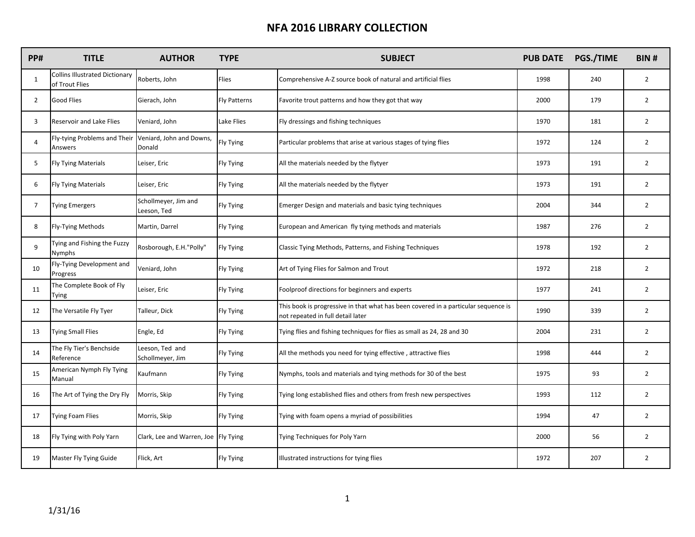| PP#            | <b>TITLE</b>                                            | <b>AUTHOR</b>                          | <b>TYPE</b>         | <b>SUBJECT</b>                                                                                                          | <b>PUB DATE</b> | PGS./TIME | <b>BIN#</b>    |
|----------------|---------------------------------------------------------|----------------------------------------|---------------------|-------------------------------------------------------------------------------------------------------------------------|-----------------|-----------|----------------|
| $\mathbf{1}$   | <b>Collins Illustrated Dictionary</b><br>of Trout Flies | Roberts, John                          | Flies               | Comprehensive A-Z source book of natural and artificial flies                                                           | 1998            | 240       | $\overline{2}$ |
| $\overline{2}$ | <b>Good Flies</b>                                       | Gierach, John                          | <b>Fly Patterns</b> | Favorite trout patterns and how they got that way                                                                       | 2000            | 179       | $\overline{2}$ |
| 3              | Reservoir and Lake Flies                                | Veniard, John                          | Lake Flies          | Fly dressings and fishing techniques                                                                                    | 1970            | 181       | $\overline{2}$ |
| 4              | Fly-tying Problems and Their<br>Answers                 | Veniard, John and Downs,<br>Donald     | Fly Tying           | Particular problems that arise at various stages of tying flies                                                         | 1972            | 124       | $\overline{2}$ |
| 5              | Fly Tying Materials                                     | Leiser, Eric                           | Fly Tying           | All the materials needed by the flytyer                                                                                 | 1973            | 191       | $\overline{2}$ |
| 6              | Fly Tying Materials                                     | Leiser, Eric                           | Fly Tying           | All the materials needed by the flytyer                                                                                 | 1973            | 191       | $\overline{2}$ |
| $\overline{7}$ | Tying Emergers                                          | Schollmeyer, Jim and<br>Leeson, Ted    | Fly Tying           | Emerger Design and materials and basic tying techniques                                                                 | 2004            | 344       | $\overline{2}$ |
| 8              | Fly-Tying Methods                                       | Martin, Darrel                         | Fly Tying           | European and American fly tying methods and materials                                                                   | 1987            | 276       | $\overline{2}$ |
| 9              | Tying and Fishing the Fuzzy<br>Nymphs                   | Rosborough, E.H."Polly"                | Fly Tying           | Classic Tying Methods, Patterns, and Fishing Techniques                                                                 | 1978            | 192       | $\overline{2}$ |
| 10             | Fly-Tying Development and<br>Progress                   | Veniard, John                          | Fly Tying           | Art of Tying Flies for Salmon and Trout                                                                                 | 1972            | 218       | $\overline{2}$ |
| 11             | The Complete Book of Fly<br>Tying                       | Leiser, Eric                           | Fly Tying           | Foolproof directions for beginners and experts                                                                          | 1977            | 241       | $\overline{2}$ |
| 12             | The Versatile Fly Tyer                                  | Talleur, Dick                          | Fly Tying           | This book is progressive in that what has been covered in a particular sequence is<br>not repeated in full detail later | 1990            | 339       | $\overline{2}$ |
| 13             | <b>Tying Small Flies</b>                                | Engle, Ed                              | <b>Fly Tying</b>    | Tying flies and fishing techniques for flies as small as 24, 28 and 30                                                  | 2004            | 231       | $\overline{2}$ |
| 14             | The Fly Tier's Benchside<br>Reference                   | Leeson, Ted and<br>Schollmeyer, Jim    | Fly Tying           | All the methods you need for tying effective, attractive flies                                                          | 1998            | 444       | $\overline{2}$ |
| 15             | American Nymph Fly Tying<br>Manual                      | Kaufmann                               | Fly Tying           | Nymphs, tools and materials and tying methods for 30 of the best                                                        | 1975            | 93        | $\overline{2}$ |
| 16             | The Art of Tying the Dry Fly                            | Morris, Skip                           | <b>Fly Tying</b>    | Tying long established flies and others from fresh new perspectives                                                     | 1993            | 112       | $\overline{2}$ |
| 17             | <b>Tying Foam Flies</b>                                 | Morris, Skip                           | <b>Fly Tying</b>    | Tying with foam opens a myriad of possibilities                                                                         | 1994            | 47        | $\overline{2}$ |
| 18             | Fly Tying with Poly Yarn                                | Clark, Lee and Warren, Joe   Fly Tying |                     | Tying Techniques for Poly Yarn                                                                                          | 2000            | 56        | $\overline{2}$ |
| 19             | Master Fly Tying Guide                                  | Flick, Art                             | Fly Tying           | llustrated instructions for tying flies                                                                                 | 1972            | 207       | $\overline{2}$ |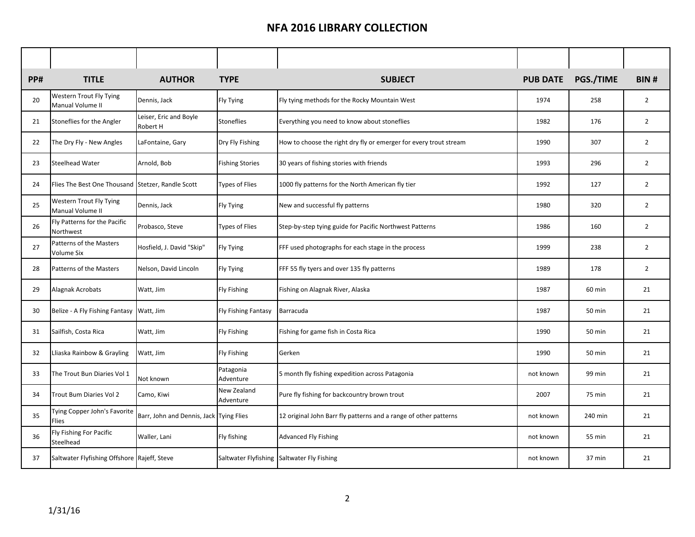| <b>PP#</b> | <b>TITLE</b>                                       | <b>AUTHOR</b>                           | <b>TYPE</b>              | <b>SUBJECT</b>                                                    | <b>PUB DATE</b> | PGS./TIME | <b>BIN#</b>    |
|------------|----------------------------------------------------|-----------------------------------------|--------------------------|-------------------------------------------------------------------|-----------------|-----------|----------------|
| 20         | <b>Western Trout Fly Tying</b><br>Manual Volume II | Dennis, Jack                            | <b>Fly Tying</b>         | Fly tying methods for the Rocky Mountain West                     | 1974            | 258       | $\overline{2}$ |
| 21         | Stoneflies for the Angler                          | Leiser, Eric and Boyle<br>Robert H      | <b>Stoneflies</b>        | Everything you need to know about stoneflies                      | 1982            | 176       | $\overline{2}$ |
| 22         | The Dry Fly - New Angles                           | LaFontaine, Gary                        | Dry Fly Fishing          | How to choose the right dry fly or emerger for every trout stream | 1990            | 307       | $\overline{2}$ |
| 23         | <b>Steelhead Water</b>                             | Arnold, Bob                             | <b>Fishing Stories</b>   | 30 years of fishing stories with friends                          | 1993            | 296       | $\overline{2}$ |
| 24         | Flies The Best One Thousand Stetzer, Randle Scott  |                                         | <b>Types of Flies</b>    | 1000 fly patterns for the North American fly tier                 | 1992            | 127       | $\overline{2}$ |
| 25         | <b>Western Trout Fly Tying</b><br>Manual Volume II | Dennis, Jack                            | Fly Tying                | New and successful fly patterns                                   | 1980            | 320       | $\overline{2}$ |
| 26         | Fly Patterns for the Pacific<br>Northwest          | Probasco, Steve                         | <b>Types of Flies</b>    | Step-by-step tying guide for Pacific Northwest Patterns           | 1986            | 160       | $\overline{2}$ |
| 27         | Patterns of the Masters<br><b>Volume Six</b>       | Hosfield, J. David "Skip"               | <b>Fly Tying</b>         | FFF used photographs for each stage in the process                | 1999            | 238       | $\overline{2}$ |
| 28         | Patterns of the Masters                            | Nelson, David Lincoln                   | <b>Fly Tying</b>         | FFF 55 fly tyers and over 135 fly patterns                        | 1989            | 178       | $\overline{2}$ |
| 29         | Alagnak Acrobats                                   | Watt, Jim                               | <b>Fly Fishing</b>       | Fishing on Alagnak River, Alaska                                  | 1987            | 60 min    | 21             |
| 30         | Belize - A Fly Fishing Fantasy Watt, Jim           |                                         | Fly Fishing Fantasy      | Barracuda                                                         | 1987            | 50 min    | 21             |
| 31         | Sailfish, Costa Rica                               | Watt, Jim                               | <b>Fly Fishing</b>       | Fishing for game fish in Costa Rica                               | 1990            | 50 min    | 21             |
| 32         | Lliaska Rainbow & Grayling                         | Watt, Jim                               | <b>Fly Fishing</b>       | Gerken                                                            | 1990            | 50 min    | 21             |
| 33         | The Trout Bun Diaries Vol 1                        | Not known                               | Patagonia<br>Adventure   | 5 month fly fishing expedition across Patagonia                   | not known       | 99 min    | 21             |
| 34         | Trout Bum Diaries Vol 2                            | Camo, Kiwi                              | New Zealand<br>Adventure | Pure fly fishing for backcountry brown trout                      | 2007            | 75 min    | 21             |
| 35         | Tying Copper John's Favorite<br>Flies              | Barr, John and Dennis, Jack Tying Flies |                          | 12 original John Barr fly patterns and a range of other patterns  | not known       | 240 min   | 21             |
| 36         | Fly Fishing For Pacific<br>Steelhead               | Waller, Lani                            | Fly fishing              | <b>Advanced Fly Fishing</b>                                       | not known       | 55 min    | 21             |
| 37         | Saltwater Flyfishing Offshore Rajeff, Steve        |                                         |                          | Saltwater Flyfishing Saltwater Fly Fishing                        | not known       | 37 min    | 21             |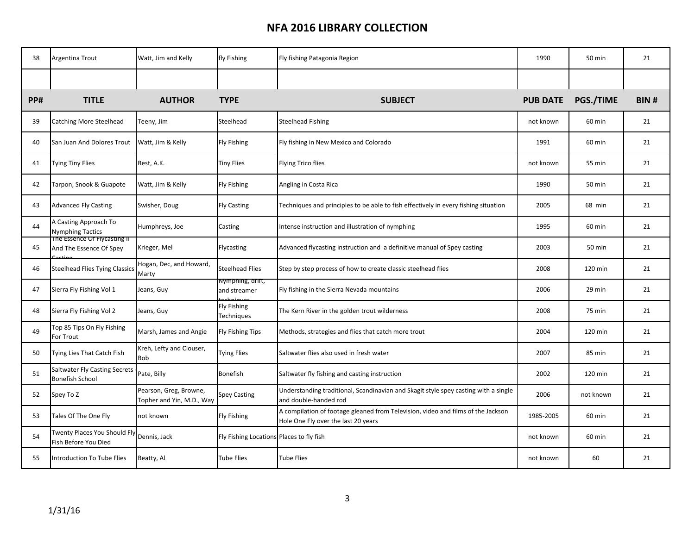| 38  | <b>Argentina Trout</b>                                         | Watt, Jim and Kelly                                 | fly Fishing                              | Fly fishing Patagonia Region                                                                                            | 1990            | 50 min    | 21   |
|-----|----------------------------------------------------------------|-----------------------------------------------------|------------------------------------------|-------------------------------------------------------------------------------------------------------------------------|-----------------|-----------|------|
|     |                                                                |                                                     |                                          |                                                                                                                         |                 |           |      |
| PP# | <b>TITLE</b>                                                   | <b>AUTHOR</b>                                       | <b>TYPE</b>                              | <b>SUBJECT</b>                                                                                                          | <b>PUB DATE</b> | PGS./TIME | BIN# |
| 39  | <b>Catching More Steelhead</b>                                 | Teeny, Jim                                          | Steelhead                                | <b>Steelhead Fishing</b>                                                                                                | not known       | 60 min    | 21   |
| 40  | San Juan And Dolores Trout                                     | Watt, Jim & Kelly                                   | <b>Fly Fishing</b>                       | Fly fishing in New Mexico and Colorado                                                                                  | 1991            | 60 min    | 21   |
| 41  | <b>Tying Tiny Flies</b>                                        | Best, A.K.                                          | <b>Tiny Flies</b>                        | <b>Flying Trico flies</b>                                                                                               | not known       | 55 min    | 21   |
| 42  | Tarpon, Snook & Guapote                                        | Watt, Jim & Kelly                                   | <b>Fly Fishing</b>                       | Angling in Costa Rica                                                                                                   | 1990            | 50 min    | 21   |
| 43  | <b>Advanced Fly Casting</b>                                    | Swisher, Doug                                       | <b>Fly Casting</b>                       | Techniques and principles to be able to fish effectively in every fishing situation                                     | 2005            | 68 min    | 21   |
| 44  | A Casting Approach To<br><b>Nymphing Tactics</b>               | Humphreys, Joe                                      | Casting                                  | Intense instruction and illustration of nymphing                                                                        | 1995            | 60 min    | 21   |
| 45  | The Essence Of Flycasting II<br>And The Essence Of Spey        | Krieger, Mel                                        | Flycasting                               | Advanced flycasting instruction and a definitive manual of Spey casting                                                 | 2003            | 50 min    | 21   |
| 46  | <b>Steelhead Flies Tying Classics</b>                          | Hogan, Dec, and Howard,<br>Marty                    | <b>Steelhead Flies</b>                   | Step by step process of how to create classic steelhead flies                                                           | 2008            | 120 min   | 21   |
| 47  | Sierra Fly Fishing Vol 1                                       | Jeans, Guy                                          | lympning, αriπ,<br>and streamer          | Fly fishing in the Sierra Nevada mountains                                                                              | 2006            | 29 min    | 21   |
| 48  | Sierra Fly Fishing Vol 2                                       | Jeans, Guy                                          | Fly Fishing<br>Techniques                | The Kern River in the golden trout wilderness                                                                           | 2008            | 75 min    | 21   |
| 49  | Top 85 Tips On Fly Fishing<br>For Trout                        | Marsh, James and Angie                              | Fly Fishing Tips                         | Methods, strategies and flies that catch more trout                                                                     | 2004            | 120 min   | 21   |
| 50  | Tying Lies That Catch Fish                                     | Kreh, Lefty and Clouser,<br>Bob                     | <b>Tying Flies</b>                       | Saltwater flies also used in fresh water                                                                                | 2007            | 85 min    | 21   |
| 51  | <b>Saltwater Fly Casting Secrets</b><br><b>Bonefish School</b> | Pate, Billy                                         | Bonefish                                 | Saltwater fly fishing and casting instruction                                                                           | 2002            | 120 min   | 21   |
| 52  | Spey To Z                                                      | Pearson, Greg, Browne,<br>Topher and Yin, M.D., Way | <b>Spey Casting</b>                      | Understanding traditional, Scandinavian and Skagit style spey casting with a single<br>and double-handed rod            | 2006            | not known | 21   |
| 53  | Tales Of The One Fly                                           | not known                                           | <b>Fly Fishing</b>                       | A compilation of footage gleaned from Television, video and films of the Jackson<br>Hole One Fly over the last 20 years | 1985-2005       | 60 min    | 21   |
| 54  | Twenty Places You Should Fly<br>Fish Before You Died           | Dennis, Jack                                        | Fly Fishing Locations Places to fly fish |                                                                                                                         | not known       | 60 min    | 21   |
| 55  | Introduction To Tube Flies                                     | Beatty, Al                                          | <b>Tube Flies</b>                        | Tube Flies                                                                                                              | not known       | 60        | 21   |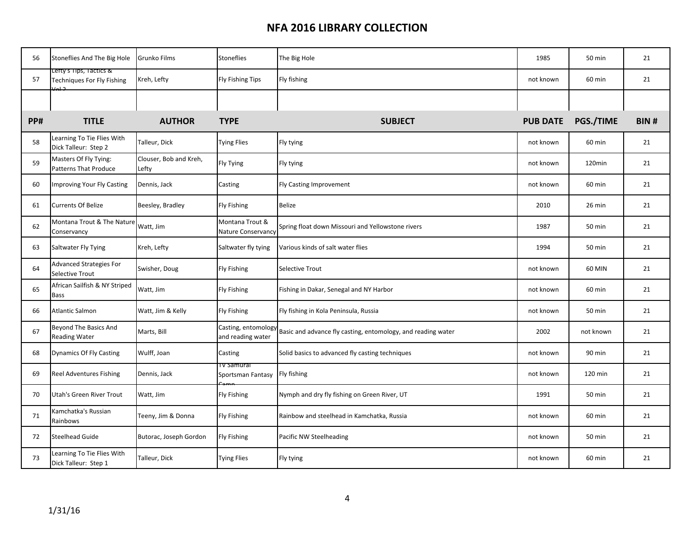| 56  | Stoneflies And The Big Hole                           | Grunko Films                    | <b>Stoneflies</b>                     | The Big Hole                                                                     | 1985            | 50 min    | 21          |
|-----|-------------------------------------------------------|---------------------------------|---------------------------------------|----------------------------------------------------------------------------------|-----------------|-----------|-------------|
| 57  | Lefty's Tips, Tactics &<br>Techniques For Fly Fishing | Kreh, Lefty                     | <b>Fly Fishing Tips</b>               | Fly fishing                                                                      | not known       | 60 min    | 21          |
|     |                                                       |                                 |                                       |                                                                                  |                 |           |             |
| PP# | <b>TITLE</b>                                          | <b>AUTHOR</b>                   | <b>TYPE</b>                           | <b>SUBJECT</b>                                                                   | <b>PUB DATE</b> | PGS./TIME | <b>BIN#</b> |
| 58  | Learning To Tie Flies With<br>Dick Talleur: Step 2    | Talleur, Dick                   | <b>Tying Flies</b>                    | Fly tying                                                                        | not known       | 60 min    | 21          |
| 59  | Masters Of Fly Tying:<br><b>Patterns That Produce</b> | Clouser, Bob and Kreh,<br>Lefty | Fly Tying                             | Fly tying                                                                        | not known       | 120min    | 21          |
| 60  | Improving Your Fly Casting                            | Dennis, Jack                    | Casting                               | <b>Fly Casting Improvement</b>                                                   | not known       | 60 min    | 21          |
| 61  | <b>Currents Of Belize</b>                             | Beesley, Bradley                | <b>Fly Fishing</b>                    | <b>Belize</b>                                                                    | 2010            | 26 min    | 21          |
| 62  | Montana Trout & The Nature<br>Conservancy             | Watt, Jim                       | Montana Trout &<br>Nature Conservancy | Spring float down Missouri and Yellowstone rivers                                | 1987            | 50 min    | 21          |
| 63  | Saltwater Fly Tying                                   | Kreh, Lefty                     | Saltwater fly tying                   | Various kinds of salt water flies                                                | 1994            | 50 min    | 21          |
| 64  | <b>Advanced Strategies For</b><br>Selective Trout     | Swisher, Doug                   | <b>Fly Fishing</b>                    | <b>Selective Trout</b>                                                           | not known       | 60 MIN    | 21          |
| 65  | African Sailfish & NY Striped<br>Bass                 | Watt, Jim                       | <b>Fly Fishing</b>                    | Fishing in Dakar, Senegal and NY Harbor                                          | not known       | 60 min    | 21          |
| 66  | <b>Atlantic Salmon</b>                                | Watt, Jim & Kelly               | <b>Fly Fishing</b>                    | Fly fishing in Kola Peninsula, Russia                                            | not known       | 50 min    | 21          |
| 67  | Beyond The Basics And<br><b>Reading Water</b>         | Marts, Bill                     | and reading water                     | Casting, entomology Basic and advance fly casting, entomology, and reading water | 2002            | not known | 21          |
| 68  | <b>Dynamics Of Fly Casting</b>                        | Wulff, Joan                     | Casting                               | Solid basics to advanced fly casting techniques                                  | not known       | 90 min    | 21          |
| 69  | <b>Reel Adventures Fishing</b>                        | Dennis, Jack                    | i v Samurai<br>Sportsman Fantasy      | Fly fishing                                                                      | not known       | 120 min   | 21          |
| 70  | Utah's Green River Trout                              | Watt, Jim                       | <b>Fly Fishing</b>                    | Nymph and dry fly fishing on Green River, UT                                     | 1991            | 50 min    | 21          |
| 71  | Kamchatka's Russian<br>Rainbows                       | Teeny, Jim & Donna              | <b>Fly Fishing</b>                    | Rainbow and steelhead in Kamchatka, Russia                                       | not known       | 60 min    | 21          |
| 72  | Steelhead Guide                                       | Butorac, Joseph Gordon          | <b>Fly Fishing</b>                    | Pacific NW Steelheading                                                          | not known       | 50 min    | 21          |
| 73  | Learning To Tie Flies With<br>Dick Talleur: Step 1    | Talleur, Dick                   | <b>Tying Flies</b>                    | Fly tying                                                                        | not known       | 60 min    | 21          |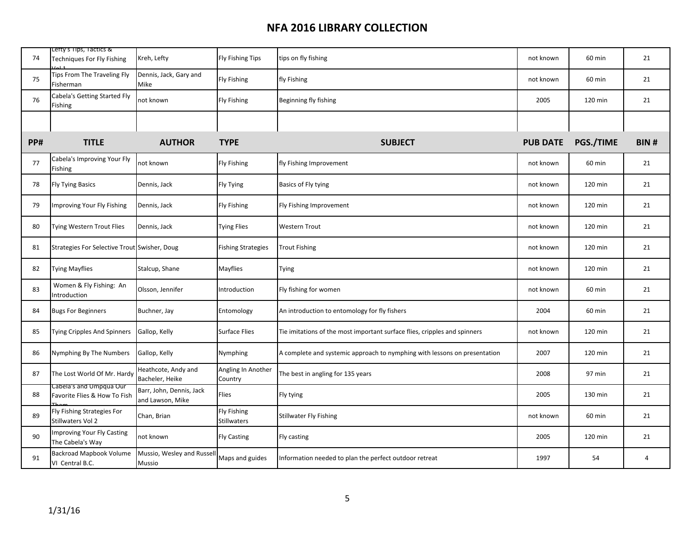| 74  | Lefty's Tips, Tactics &<br>Techniques For Fly Fishing   | Kreh, Lefty                                  | <b>Fly Fishing Tips</b>                  | tips on fly fishing                                                       | not known       | 60 min    | 21             |
|-----|---------------------------------------------------------|----------------------------------------------|------------------------------------------|---------------------------------------------------------------------------|-----------------|-----------|----------------|
| 75  | Tips From The Traveling Fly<br>Fisherman                | Dennis, Jack, Gary and<br><b>Mike</b>        | <b>Fly Fishing</b>                       | fly Fishing                                                               | not known       | 60 min    | 21             |
| 76  | Cabela's Getting Started Fly<br>Fishing                 | not known                                    | <b>Fly Fishing</b>                       | Beginning fly fishing                                                     | 2005            | 120 min   | 21             |
|     |                                                         |                                              |                                          |                                                                           |                 |           |                |
| PP# | <b>TITLE</b>                                            | <b>AUTHOR</b>                                | <b>TYPE</b>                              | <b>SUBJECT</b>                                                            | <b>PUB DATE</b> | PGS./TIME | BIN#           |
| 77  | Cabela's Improving Your Fly<br>Fishing                  | not known                                    | <b>Fly Fishing</b>                       | fly Fishing Improvement                                                   | not known       | 60 min    | 21             |
| 78  | <b>Fly Tying Basics</b>                                 | Dennis, Jack                                 | Fly Tying                                | Basics of Fly tying                                                       | not known       | 120 min   | 21             |
| 79  | Improving Your Fly Fishing                              | Dennis, Jack                                 | <b>Fly Fishing</b>                       | Fly Fishing Improvement                                                   | not known       | 120 min   | 21             |
| 80  | <b>Tying Western Trout Flies</b>                        | Dennis, Jack                                 | <b>Tying Flies</b>                       | <b>Western Trout</b>                                                      | not known       | 120 min   | 21             |
| 81  | Strategies For Selective Trout Swisher, Doug            |                                              | <b>Fishing Strategies</b>                | <b>Trout Fishing</b>                                                      | not known       | 120 min   | 21             |
| 82  | Tying Mayflies                                          | Stalcup, Shane                               | <b>Mayflies</b>                          | <b>Tying</b>                                                              | not known       | 120 min   | 21             |
| 83  | Women & Fly Fishing: An<br>Introduction                 | Olsson, Jennifer                             | Introduction                             | Fly fishing for women                                                     | not known       | 60 min    | 21             |
| 84  | <b>Bugs For Beginners</b>                               | Buchner, Jay                                 | Entomology                               | An introduction to entomology for fly fishers                             | 2004            | 60 min    | 21             |
| 85  | <b>Tying Cripples And Spinners</b>                      | Gallop, Kelly                                | <b>Surface Flies</b>                     | Tie imitations of the most important surface flies, cripples and spinners | not known       | 120 min   | 21             |
| 86  | Nymphing By The Numbers                                 | Gallop, Kelly                                | Nymphing                                 | A complete and systemic approach to nymphing with lessons on presentation | 2007            | 120 min   | 21             |
| 87  | The Lost World Of Mr. Hardy                             | Heathcote, Andy and<br>Bacheler, Heike       | Angling In Another<br>Country            | The best in angling for 135 years                                         | 2008            | 97 min    | 21             |
| 88  | cabela s and Umpqua Our<br>Favorite Flies & How To Fish | Barr, John, Dennis, Jack<br>and Lawson, Mike | Flies                                    | Fly tying                                                                 | 2005            | 130 min   | 21             |
| 89  | Fly Fishing Strategies For<br>Stillwaters Vol 2         | Chan, Brian                                  | <b>Fly Fishing</b><br><b>Stillwaters</b> | <b>Stillwater Fly Fishing</b>                                             | not known       | 60 min    | 21             |
| 90  | <b>Improving Your Fly Casting</b><br>The Cabela's Way   | not known                                    | <b>Fly Casting</b>                       | Fly casting                                                               | 2005            | 120 min   | 21             |
| 91  | Backroad Mapbook Volume<br>VI Central B.C.              | Mussio, Wesley and Russell<br>Mussio         | Maps and guides                          | Information needed to plan the perfect outdoor retreat                    | 1997            | 54        | $\overline{4}$ |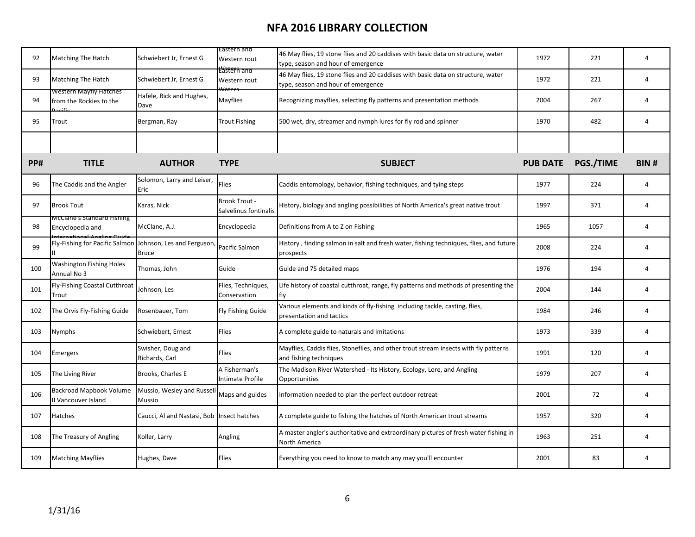| 92  | Matching The Hatch                                        | Schwiebert Jr, Ernest G             | Eastern and<br>Western rout                   | 46 May flies, 19 stone flies and 20 caddises with basic data on structure, water<br>type, season and hour of emergence | 1972            | 221       | 4              |
|-----|-----------------------------------------------------------|-------------------------------------|-----------------------------------------------|------------------------------------------------------------------------------------------------------------------------|-----------------|-----------|----------------|
| 93  | <b>Matching The Hatch</b>                                 | Schwiebert Jr, Ernest G             | <del>L'ástern and</del><br>Western rout       | 46 May flies, 19 stone flies and 20 caddises with basic data on structure, water<br>type, season and hour of emergence | 1972            | 221       | 4              |
| 94  | western iviayfly Hatches<br>from the Rockies to the       | Hafele, Rick and Hughes,<br>Dave    | Mayflies                                      | Recognizing mayflies, selecting fly patterns and presentation methods                                                  | 2004            | 267       | 4              |
| 95  | Trout                                                     | Bergman, Ray                        | <b>Trout Fishing</b>                          | 500 wet, dry, streamer and nymph lures for fly rod and spinner                                                         | 1970            | 482       | 4              |
|     |                                                           |                                     |                                               |                                                                                                                        |                 |           |                |
| PP# | <b>TITLE</b>                                              | <b>AUTHOR</b>                       | <b>TYPE</b>                                   | <b>SUBJECT</b>                                                                                                         | <b>PUB DATE</b> | PGS./TIME | BIN#           |
| 96  | The Caddis and the Angler                                 | Solomon, Larry and Leiser,<br>Eric  | Flies                                         | Caddis entomology, behavior, fishing techniques, and tying steps                                                       | 1977            | 224       | $\overline{4}$ |
| 97  | <b>Brook Tout</b>                                         | Karas, Nick                         | <b>Brook Trout -</b><br>Salvelinus fontinalis | History, biology and angling possibilities of North America's great native trout                                       | 1997            | 371       | $\overline{4}$ |
| 98  | McClane's Standard Fishing<br>Encyclopedia and            | McClane, A.J.                       | Encyclopedia                                  | Definitions from A to Z on Fishing                                                                                     | 1965            | 1057      | 4              |
| 99  | Fly-Fishing for Pacific Salmon Johnson, Les and Ferguson, | <b>Bruce</b>                        | Pacific Salmon                                | History, finding salmon in salt and fresh water, fishing techniques, flies, and future<br>prospects                    | 2008            | 224       | $\overline{4}$ |
| 100 | <b>Washington Fishing Holes</b><br>Annual No 3            | Thomas, John                        | Guide                                         | Guide and 75 detailed maps                                                                                             | 1976            | 194       | 4              |
| 101 | Fly-Fishing Coastal Cutthroat<br>Trout                    | Johnson, Les                        | Flies, Techniques,<br>Conservation            | Life history of coastal cutthroat, range, fly patterns and methods of presenting the<br>fly                            | 2004            | 144       | 4              |
| 102 | The Orvis Fly-Fishing Guide                               | Rosenbauer, Tom                     | Fly Fishing Guide                             | Various elements and kinds of fly-fishing including tackle, casting, flies,<br>presentation and tactics                | 1984            | 246       | 4              |
| 103 | Nymphs                                                    | Schwiebert, Ernest                  | Flies                                         | A complete guide to naturals and imitations                                                                            | 1973            | 339       | 4              |
| 104 | <b>Emergers</b>                                           | Swisher, Doug and<br>Richards, Carl | Flies                                         | Mayflies, Caddis flies, Stoneflies, and other trout stream insects with fly patterns<br>and fishing techniques         | 1991            | 120       | $\overline{4}$ |
| 105 | The Living River                                          | Brooks, Charles E                   | A Fisherman's<br>Intimate Profile             | The Madison River Watershed - Its History, Ecology, Lore, and Angling<br>Opportunities                                 | 1979            | 207       | 4              |
| 106 | Backroad Mapbook Volume<br>II Vancouver Island            | Mussio, Wesley and Russel<br>Mussio | Maps and guides                               | Information needed to plan the perfect outdoor retreat                                                                 | 2001            | 72        | 4              |
| 107 | Hatches                                                   | Caucci, Al and Nastasi, Bob         | Insect hatches                                | A complete guide to fishing the hatches of North American trout streams                                                | 1957            | 320       | 4              |
| 108 | The Treasury of Angling                                   | Koller, Larry                       | Angling                                       | A master angler's authoritative and extraordinary pictures of fresh water fishing in<br>North America                  | 1963            | 251       | $\overline{4}$ |
| 109 | <b>Matching Mayflies</b>                                  | Hughes, Dave                        | Flies                                         | Everything you need to know to match any may you'll encounter                                                          | 2001            | 83        | $\overline{a}$ |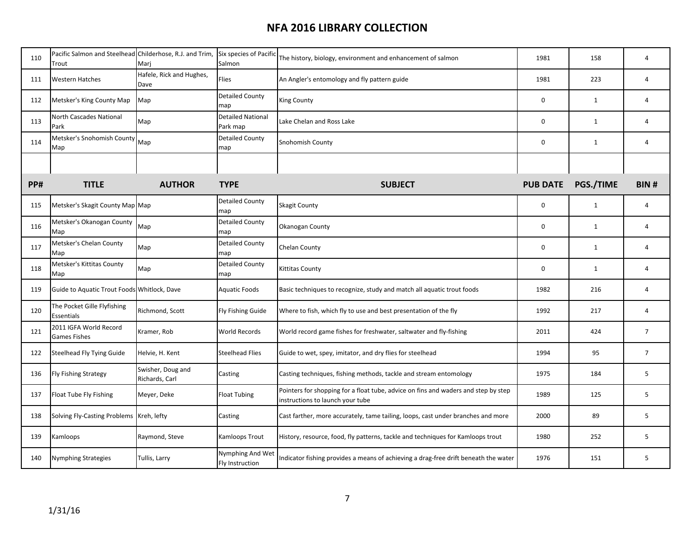| 110 | Pacific Salmon and Steelhead Childerhose, R.J. and Trim,<br>Trout | Marj                                | Six species of Pacific<br>Salmon    | The history, biology, environment and enhancement of salmon                                                            | 1981            | 158          | 4              |
|-----|-------------------------------------------------------------------|-------------------------------------|-------------------------------------|------------------------------------------------------------------------------------------------------------------------|-----------------|--------------|----------------|
| 111 | <b>Western Hatches</b>                                            | Hafele, Rick and Hughes,<br>Dave    | Flies                               | An Angler's entomology and fly pattern guide                                                                           | 1981            | 223          | 4              |
| 112 | Metsker's King County Map                                         | Map                                 | <b>Detailed County</b><br>map       | <b>King County</b>                                                                                                     | 0               | $\mathbf{1}$ | 4              |
| 113 | North Cascades National<br>Park                                   | Map                                 | Detailed National<br>Park map       | Lake Chelan and Ross Lake                                                                                              | $\mathbf 0$     | 1            | 4              |
| 114 | Metsker's Snohomish County<br>Map                                 | Map                                 | <b>Detailed County</b><br>map       | Snohomish County                                                                                                       | $\mathbf 0$     | $\mathbf{1}$ | 4              |
|     |                                                                   |                                     |                                     |                                                                                                                        |                 |              |                |
| PP# | <b>TITLE</b>                                                      | <b>AUTHOR</b>                       | <b>TYPE</b>                         | <b>SUBJECT</b>                                                                                                         | <b>PUB DATE</b> | PGS./TIME    | <b>BIN#</b>    |
| 115 | Metsker's Skagit County Map Map                                   |                                     | <b>Detailed County</b><br>map       | <b>Skagit County</b>                                                                                                   | 0               | $\mathbf{1}$ | 4              |
| 116 | Metsker's Okanogan County<br>Map                                  | Map                                 | <b>Detailed County</b><br>map       | Okanogan County                                                                                                        | $\pmb{0}$       | $\mathbf{1}$ | $\overline{4}$ |
| 117 | Metsker's Chelan County<br>Map                                    | Map                                 | <b>Detailed County</b><br>map       | Chelan County                                                                                                          | $\pmb{0}$       | $\mathbf{1}$ | 4              |
| 118 | Metsker's Kittitas County<br>Map                                  | Map                                 | <b>Detailed County</b><br>map       | Kittitas County                                                                                                        | $\mathbf 0$     | $\mathbf{1}$ | $\overline{4}$ |
| 119 | Guide to Aquatic Trout Foods Whitlock, Dave                       |                                     | Aquatic Foods                       | Basic techniques to recognize, study and match all aquatic trout foods                                                 | 1982            | 216          | 4              |
| 120 | The Pocket Gille Flyfishing<br>Essentials                         | Richmond, Scott                     | Fly Fishing Guide                   | Where to fish, which fly to use and best presentation of the fly                                                       | 1992            | 217          | 4              |
| 121 | 2011 IGFA World Record<br><b>Games Fishes</b>                     | Kramer, Rob                         | World Records                       | World record game fishes for freshwater, saltwater and fly-fishing                                                     | 2011            | 424          | $\overline{7}$ |
| 122 | Steelhead Fly Tying Guide                                         | Helvie, H. Kent                     | <b>Steelhead Flies</b>              | Guide to wet, spey, imitator, and dry flies for steelhead                                                              | 1994            | 95           | $\overline{7}$ |
| 136 | Fly Fishing Strategy                                              | Swisher, Doug and<br>Richards, Carl | Casting                             | Casting techniques, fishing methods, tackle and stream entomology                                                      | 1975            | 184          | 5              |
| 137 | Float Tube Fly Fishing                                            | Meyer, Deke                         | <b>Float Tubing</b>                 | Pointers for shopping for a float tube, advice on fins and waders and step by step<br>instructions to launch your tube | 1989            | 125          | 5              |
| 138 | Solving Fly-Casting Problems Kreh, lefty                          |                                     | Casting                             | Cast farther, more accurately, tame tailing, loops, cast under branches and more                                       | 2000            | 89           | 5              |
| 139 | Kamloops                                                          | Raymond, Steve                      | Kamloops Trout                      | History, resource, food, fly patterns, tackle and techniques for Kamloops trout                                        | 1980            | 252          | 5              |
| 140 | <b>Nymphing Strategies</b>                                        | Tullis, Larry                       | Nymphing And Wet<br>Fly Instruction | Indicator fishing provides a means of achieving a drag-free drift beneath the water                                    | 1976            | 151          | 5              |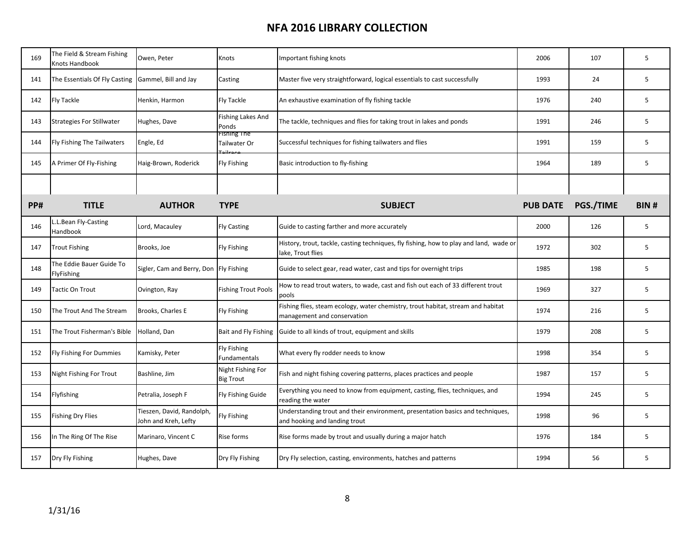| 169        | The Field & Stream Fishing<br>Knots Handbook       | Owen, Peter                                       | Knots                                 | Important fishing knots                                                                                         | 2006            | 107       | 5           |
|------------|----------------------------------------------------|---------------------------------------------------|---------------------------------------|-----------------------------------------------------------------------------------------------------------------|-----------------|-----------|-------------|
| 141        | The Essentials Of Fly Casting Gammel, Bill and Jay |                                                   | Casting                               | Master five very straightforward, logical essentials to cast successfully                                       | 1993            | 24        | 5           |
| 142        | <b>Fly Tackle</b>                                  | Henkin, Harmon                                    | <b>Fly Tackle</b>                     | An exhaustive examination of fly fishing tackle                                                                 | 1976            | 240       | 5           |
| 143        | <b>Strategies For Stillwater</b>                   | Hughes, Dave                                      | <b>Fishing Lakes And</b><br>Ponds     | The tackle, techniques and flies for taking trout in lakes and ponds                                            | 1991            | 246       | 5           |
| 144        | <b>Fly Fishing The Tailwaters</b>                  | Engle, Ed                                         | Fishing The<br>Tailwater Or           | Successful techniques for fishing tailwaters and flies                                                          | 1991            | 159       | 5           |
| 145        | A Primer Of Fly-Fishing                            | Haig-Brown, Roderick                              | <b>Fly Fishing</b>                    | Basic introduction to fly-fishing                                                                               | 1964            | 189       | 5           |
|            |                                                    |                                                   |                                       |                                                                                                                 |                 |           |             |
| <b>PP#</b> | <b>TITLE</b>                                       | <b>AUTHOR</b>                                     | <b>TYPE</b>                           | <b>SUBJECT</b>                                                                                                  | <b>PUB DATE</b> | PGS./TIME | <b>BIN#</b> |
| 146        | L.L.Bean Fly-Casting<br>Handbook                   | Lord, Macauley                                    | <b>Fly Casting</b>                    | Guide to casting farther and more accurately                                                                    | 2000            | 126       | 5           |
| 147        | <b>Trout Fishing</b>                               | Brooks, Joe                                       | <b>Fly Fishing</b>                    | History, trout, tackle, casting techniques, fly fishing, how to play and land, wade or<br>lake, Trout flies     | 1972            | 302       | 5           |
| 148        | The Eddie Bauer Guide To<br>FlyFishing             | Sigler, Cam and Berry, Don Fly Fishing            |                                       | Guide to select gear, read water, cast and tips for overnight trips                                             | 1985            | 198       | 5           |
| 149        | <b>Tactic On Trout</b>                             | Ovington, Ray                                     | <b>Fishing Trout Pools</b>            | How to read trout waters, to wade, cast and fish out each of 33 different trout<br>pools                        | 1969            | 327       | 5           |
| 150        | The Trout And The Stream                           | Brooks, Charles E                                 | <b>Fly Fishing</b>                    | Fishing flies, steam ecology, water chemistry, trout habitat, stream and habitat<br>management and conservation | 1974            | 216       | 5           |
| 151        | The Trout Fisherman's Bible                        | Holland, Dan                                      | Bait and Fly Fishing                  | Guide to all kinds of trout, equipment and skills                                                               | 1979            | 208       | 5           |
| 152        | <b>Fly Fishing For Dummies</b>                     | Kamisky, Peter                                    | <b>Fly Fishing</b><br>Fundamentals    | What every fly rodder needs to know                                                                             | 1998            | 354       | 5           |
| 153        | Night Fishing For Trout                            | Bashline, Jim                                     | Night Fishing For<br><b>Big Trout</b> | Fish and night fishing covering patterns, places practices and people                                           | 1987            | 157       | 5           |
| 154        | Flyfishing                                         | Petralia, Joseph F                                | <b>Fly Fishing Guide</b>              | Everything you need to know from equipment, casting, flies, techniques, and<br>reading the water                | 1994            | 245       | 5           |
| 155        | <b>Fishing Dry Flies</b>                           | Tieszen, David, Randolph,<br>John and Kreh, Lefty | <b>Fly Fishing</b>                    | Understanding trout and their environment, presentation basics and techniques,<br>and hooking and landing trout | 1998            | 96        | 5           |
| 156        | In The Ring Of The Rise                            | Marinaro, Vincent C                               | <b>Rise forms</b>                     | Rise forms made by trout and usually during a major hatch                                                       | 1976            | 184       | 5           |
| 157        | Dry Fly Fishing                                    | Hughes, Dave                                      | Dry Fly Fishing                       | Dry Fly selection, casting, environments, hatches and patterns                                                  | 1994            | 56        | 5           |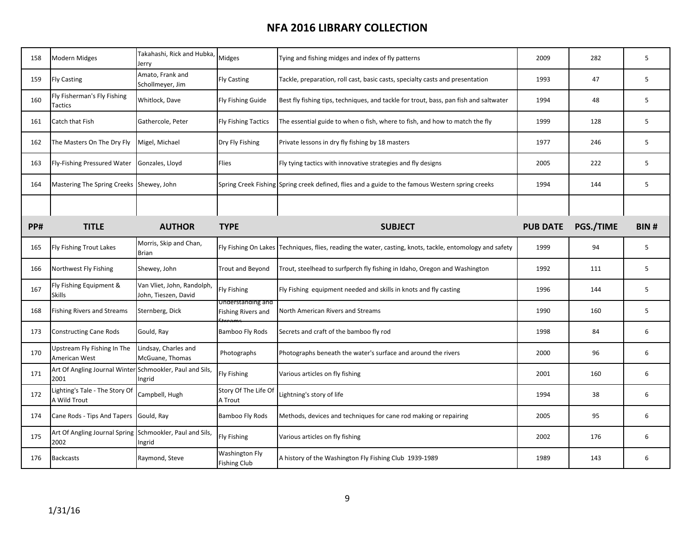| 158 | <b>Modern Midges</b>                                             | Takahashi, Rick and Hubka,<br>Jerry                | Midges                                         | Tying and fishing midges and index of fly patterns                                                       | 2009            | 282       | 5           |
|-----|------------------------------------------------------------------|----------------------------------------------------|------------------------------------------------|----------------------------------------------------------------------------------------------------------|-----------------|-----------|-------------|
| 159 | <b>Fly Casting</b>                                               | Amato, Frank and<br>Schollmeyer, Jim               | <b>Fly Casting</b>                             | Tackle, preparation, roll cast, basic casts, specialty casts and presentation                            | 1993            | 47        | 5           |
| 160 | Fly Fisherman's Fly Fishing<br>Tactics                           | Whitlock, Dave                                     | Fly Fishing Guide                              | Best fly fishing tips, techniques, and tackle for trout, bass, pan fish and saltwater                    | 1994            | 48        | 5           |
| 161 | Catch that Fish                                                  | Gathercole, Peter                                  | <b>Fly Fishing Tactics</b>                     | The essential guide to when o fish, where to fish, and how to match the fly                              | 1999            | 128       | 5           |
| 162 | The Masters On The Dry Fly                                       | Migel, Michael                                     | Dry Fly Fishing                                | Private lessons in dry fly fishing by 18 masters                                                         | 1977            | 246       | 5           |
| 163 | Fly-Fishing Pressured Water                                      | Gonzales, Lloyd                                    | <b>Flies</b>                                   | Fly tying tactics with innovative strategies and fly designs                                             | 2005            | 222       | 5           |
| 164 | Mastering The Spring Creeks                                      | Shewey, John                                       |                                                | Spring Creek Fishing Spring creek defined, flies and a guide to the famous Western spring creeks         | 1994            | 144       | 5           |
|     |                                                                  |                                                    |                                                |                                                                                                          |                 |           |             |
| PP# | <b>TITLE</b>                                                     | <b>AUTHOR</b>                                      | <b>TYPE</b>                                    | <b>SUBJECT</b>                                                                                           | <b>PUB DATE</b> | PGS./TIME | <b>BIN#</b> |
| 165 | Fly Fishing Trout Lakes                                          | Morris, Skip and Chan,<br><b>Brian</b>             |                                                | Fly Fishing On Lakes Techniques, flies, reading the water, casting, knots, tackle, entomology and safety | 1999            | 94        | 5           |
| 166 | Northwest Fly Fishing                                            | Shewey, John                                       | <b>Trout and Beyond</b>                        | Trout, steelhead to surfperch fly fishing in Idaho, Oregon and Washington                                | 1992            | 111       | 5           |
| 167 | Fly Fishing Equipment &<br>Skills                                | Van Vliet, John, Randolph,<br>John, Tieszen, David | <b>Fly Fishing</b>                             | Fly Fishing equipment needed and skills in knots and fly casting                                         | 1996            | 144       | 5           |
| 168 | <b>Fishing Rivers and Streams</b>                                | Sternberg, Dick                                    | Understanding and<br><b>Fishing Rivers and</b> | North American Rivers and Streams                                                                        | 1990            | 160       | 5           |
| 173 | <b>Constructing Cane Rods</b>                                    | Gould, Ray                                         | <b>Bamboo Fly Rods</b>                         | Secrets and craft of the bamboo fly rod                                                                  | 1998            | 84        | 6           |
| 170 | Upstream Fly Fishing In The<br>American West                     | Lindsay, Charles and<br>McGuane, Thomas            | Photographs                                    | Photographs beneath the water's surface and around the rivers                                            | 2000            | 96        | 6           |
| 171 | Art Of Angling Journal Winter<br>2001                            | Schmookler, Paul and Sils,<br>Ingrid               | Fly Fishing                                    | Various articles on fly fishing                                                                          | 2001            | 160       | 6           |
| 172 | Lighting's Tale - The Story Of<br>A Wild Trout                   | Campbell, Hugh                                     | Story Of The Life Of<br>A Trout                | Lightning's story of life                                                                                | 1994            | 38        | 6           |
| 174 | Cane Rods - Tips And Tapers                                      | Gould, Ray                                         | <b>Bamboo Fly Rods</b>                         | Methods, devices and techniques for cane rod making or repairing                                         | 2005            | 95        | 6           |
| 175 | Art Of Angling Journal Spring Schmookler, Paul and Sils,<br>2002 | Ingrid                                             | Fly Fishing                                    | Various articles on fly fishing                                                                          | 2002            | 176       | 6           |
| 176 | <b>Backcasts</b>                                                 | Raymond, Steve                                     | Washington Fly<br><b>Fishing Club</b>          | A history of the Washington Fly Fishing Club 1939-1989                                                   | 1989            | 143       | 6           |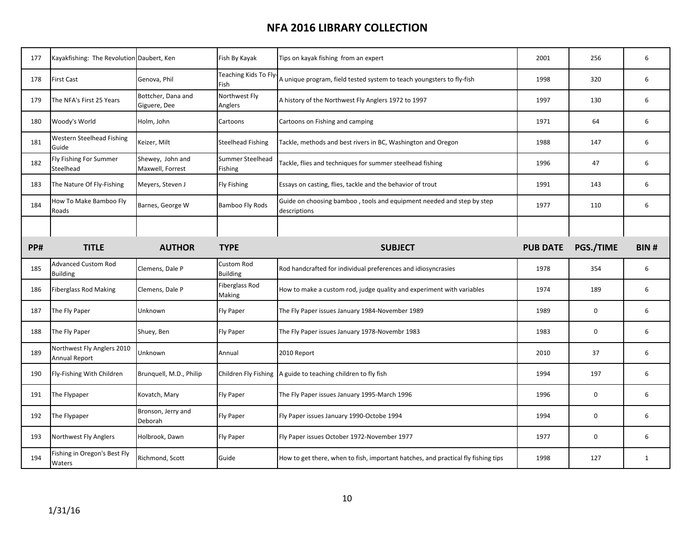| 177 | Kayakfishing: The Revolution Daubert, Ken          |                                      | Fish By Kayak                 | Tips on kayak fishing from an expert                                                                           | 2001            | 256       | 6           |
|-----|----------------------------------------------------|--------------------------------------|-------------------------------|----------------------------------------------------------------------------------------------------------------|-----------------|-----------|-------------|
| 178 | <b>First Cast</b>                                  | Genova, Phil                         | Fish                          | Teaching Kids To Fly $\bigg _{\mathsf{A}}$ unique program, field tested system to teach youngsters to fly-fish | 1998            | 320       | 6           |
| 179 | The NFA's First 25 Years                           | Bottcher, Dana and<br>Giguere, Dee   | Northwest Fly<br>Anglers      | A history of the Northwest Fly Anglers 1972 to 1997                                                            | 1997            | 130       | 6           |
| 180 | Woody's World                                      | Holm, John                           | Cartoons                      | Cartoons on Fishing and camping                                                                                | 1971            | 64        | 6           |
| 181 | Western Steelhead Fishing<br>Guide                 | Keizer, Milt                         | <b>Steelhead Fishing</b>      | Tackle, methods and best rivers in BC, Washington and Oregon                                                   | 1988            | 147       | 6           |
| 182 | Fly Fishing For Summer<br>Steelhead                | Shewey, John and<br>Maxwell, Forrest | Summer Steelhead<br>Fishing   | Tackle, flies and techniques for summer steelhead fishing                                                      | 1996            | 47        | 6           |
| 183 | The Nature Of Fly-Fishing                          | Meyers, Steven J                     | <b>Fly Fishing</b>            | Essays on casting, flies, tackle and the behavior of trout                                                     | 1991            | 143       | 6           |
| 184 | How To Make Bamboo Fly<br>Roads                    | Barnes, George W                     | <b>Bamboo Fly Rods</b>        | Guide on choosing bamboo, tools and equipment needed and step by step<br>descriptions                          | 1977            | 110       | 6           |
|     |                                                    |                                      |                               |                                                                                                                |                 |           |             |
| PP# | <b>TITLE</b>                                       | <b>AUTHOR</b>                        | <b>TYPE</b>                   | <b>SUBJECT</b>                                                                                                 | <b>PUB DATE</b> | PGS./TIME | <b>BIN#</b> |
|     |                                                    |                                      |                               |                                                                                                                |                 |           |             |
| 185 | <b>Advanced Custom Rod</b><br><b>Building</b>      | Clemens, Dale P                      | Custom Rod<br><b>Building</b> | Rod handcrafted for individual preferences and idiosyncrasies                                                  | 1978            | 354       | 6           |
| 186 | <b>Fiberglass Rod Making</b>                       | Clemens, Dale P                      | Fiberglass Rod<br>Making      | How to make a custom rod, judge quality and experiment with variables                                          | 1974            | 189       | 6           |
| 187 | The Fly Paper                                      | Unknown                              | <b>Fly Paper</b>              | The Fly Paper issues January 1984-November 1989                                                                | 1989            | 0         | 6           |
| 188 | The Fly Paper                                      | Shuey, Ben                           | <b>Fly Paper</b>              | The Fly Paper issues January 1978-Novembr 1983                                                                 | 1983            | 0         | 6           |
| 189 | Northwest Fly Anglers 2010<br><b>Annual Report</b> | Unknown                              | Annual                        | 2010 Report                                                                                                    | 2010            | 37        | 6           |
| 190 | Fly-Fishing With Children                          | Brunquell, M.D., Philip              |                               | Children Fly Fishing A guide to teaching children to fly fish                                                  | 1994            | 197       | 6           |
| 191 | The Flypaper                                       | Kovatch, Mary                        | <b>Fly Paper</b>              | The Fly Paper issues January 1995-March 1996                                                                   | 1996            | 0         | 6           |
| 192 | The Flypaper                                       | Bronson, Jerry and<br>Deborah        | <b>Fly Paper</b>              | Fly Paper issues January 1990-Octobe 1994                                                                      | 1994            | 0         | 6           |
| 193 | Northwest Fly Anglers                              | Holbrook, Dawn                       | <b>Fly Paper</b>              | Fly Paper issues October 1972-November 1977                                                                    | 1977            | 0         | 6           |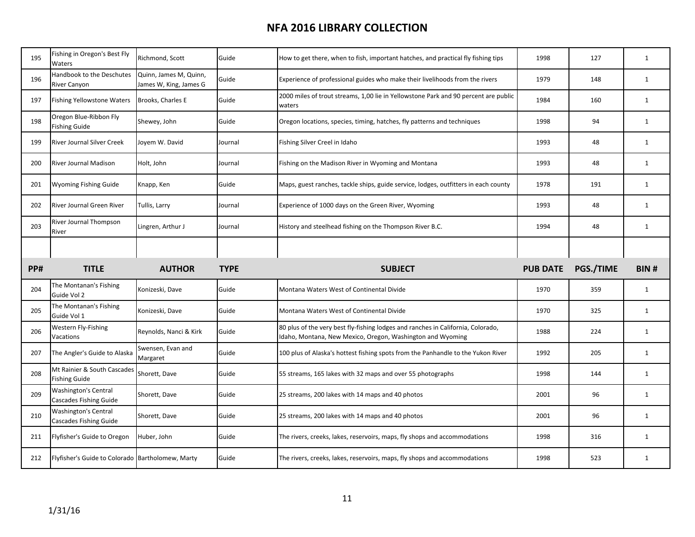| 195 | Fishing in Oregon's Best Fly<br>Waters                | Richmond, Scott                                  | Guide       | How to get there, when to fish, important hatches, and practical fly fishing tips                                                              | 1998            | 127       | $\mathbf{1}$ |
|-----|-------------------------------------------------------|--------------------------------------------------|-------------|------------------------------------------------------------------------------------------------------------------------------------------------|-----------------|-----------|--------------|
| 196 | Handbook to the Deschutes<br><b>River Canyon</b>      | Quinn, James M, Quinn,<br>James W, King, James G | Guide       | Experience of professional guides who make their livelihoods from the rivers                                                                   | 1979            | 148       | $\mathbf{1}$ |
| 197 | <b>Fishing Yellowstone Waters</b>                     | Brooks, Charles E                                | Guide       | 2000 miles of trout streams, 1,00 lie in Yellowstone Park and 90 percent are public<br>waters                                                  | 1984            | 160       | $\mathbf{1}$ |
| 198 | Oregon Blue-Ribbon Fly<br><b>Fishing Guide</b>        | Shewey, John                                     | Guide       | Oregon locations, species, timing, hatches, fly patterns and techniques                                                                        | 1998            | 94        | $\mathbf{1}$ |
| 199 | <b>River Journal Silver Creek</b>                     | Joyem W. David                                   | Journal     | Fishing Silver Creel in Idaho                                                                                                                  | 1993            | 48        | $\mathbf{1}$ |
| 200 | <b>River Journal Madison</b>                          | Holt, John                                       | Journal     | Fishing on the Madison River in Wyoming and Montana                                                                                            | 1993            | 48        | $\mathbf{1}$ |
| 201 | Wyoming Fishing Guide                                 | Knapp, Ken                                       | Guide       | Maps, guest ranches, tackle ships, guide service, lodges, outfitters in each county                                                            | 1978            | 191       | $\mathbf{1}$ |
| 202 | <b>River Journal Green River</b>                      | Tullis, Larry                                    | Journal     | Experience of 1000 days on the Green River, Wyoming                                                                                            | 1993            | 48        | $\mathbf{1}$ |
| 203 | River Journal Thompson<br>River                       | Lingren, Arthur J                                | Journal     | History and steelhead fishing on the Thompson River B.C.                                                                                       | 1994            | 48        | $\mathbf{1}$ |
|     |                                                       |                                                  |             |                                                                                                                                                |                 |           |              |
|     |                                                       |                                                  |             |                                                                                                                                                |                 |           |              |
| PP# | <b>TITLE</b>                                          | <b>AUTHOR</b>                                    | <b>TYPE</b> | <b>SUBJECT</b>                                                                                                                                 | <b>PUB DATE</b> | PGS./TIME | BIN#         |
| 204 | The Montanan's Fishing<br>Guide Vol 2                 | Konizeski, Dave                                  | Guide       | Montana Waters West of Continental Divide                                                                                                      | 1970            | 359       | 1            |
| 205 | The Montanan's Fishing<br>Guide Vol 1                 | Konizeski, Dave                                  | Guide       | Montana Waters West of Continental Divide                                                                                                      | 1970            | 325       | $\mathbf{1}$ |
| 206 | Western Fly-Fishing<br>Vacations                      | Reynolds, Nanci & Kirk                           | Guide       | 80 plus of the very best fly-fishing lodges and ranches in California, Colorado,<br>Idaho, Montana, New Mexico, Oregon, Washington and Wyoming | 1988            | 224       | $\mathbf{1}$ |
| 207 | The Angler's Guide to Alaska                          | Swensen, Evan and<br>Margaret                    | Guide       | 100 plus of Alaska's hottest fishing spots from the Panhandle to the Yukon River                                                               | 1992            | 205       | $\mathbf{1}$ |
| 208 | Mt Rainier & South Cascades<br><b>Fishing Guide</b>   | Shorett, Dave                                    | Guide       | 55 streams, 165 lakes with 32 maps and over 55 photographs                                                                                     | 1998            | 144       | $\mathbf{1}$ |
| 209 | <b>Washington's Central</b><br>Cascades Fishing Guide | Shorett, Dave                                    | Guide       | 25 streams, 200 lakes with 14 maps and 40 photos                                                                                               | 2001            | 96        | $\mathbf{1}$ |
| 210 | <b>Washington's Central</b><br>Cascades Fishing Guide | Shorett, Dave                                    | Guide       | 25 streams, 200 lakes with 14 maps and 40 photos                                                                                               | 2001            | 96        | $\mathbf{1}$ |
| 211 | Flyfisher's Guide to Oregon                           | Huber, John                                      | Guide       | The rivers, creeks, lakes, reservoirs, maps, fly shops and accommodations                                                                      | 1998            | 316       | $\mathbf{1}$ |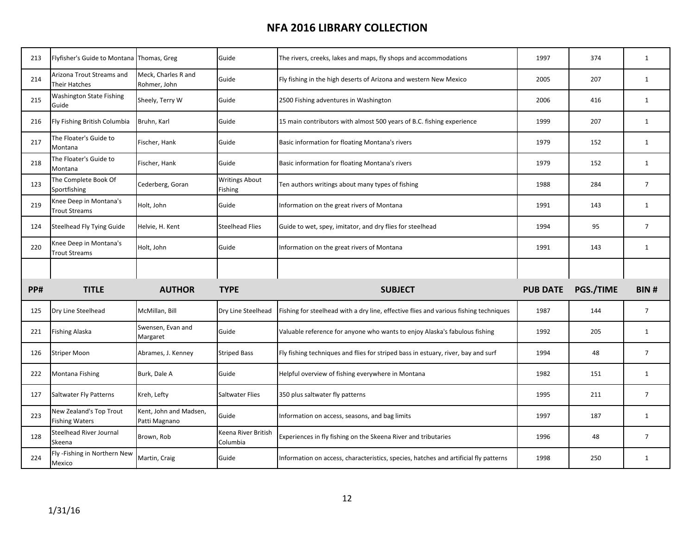| 213 | Flyfisher's Guide to Montana Thomas, Greg        |                                         | Guide                            | The rivers, creeks, lakes and maps, fly shops and accommodations                      | 1997            | 374       | $\mathbf{1}$   |
|-----|--------------------------------------------------|-----------------------------------------|----------------------------------|---------------------------------------------------------------------------------------|-----------------|-----------|----------------|
| 214 | Arizona Trout Streams and<br>Their Hatches       | Meck, Charles R and<br>Rohmer, John     | Guide                            | Fly fishing in the high deserts of Arizona and western New Mexico                     | 2005            | 207       | $\mathbf{1}$   |
| 215 | Washington State Fishing<br>Guide                | Sheely, Terry W                         | Guide                            | 2500 Fishing adventures in Washington                                                 | 2006            | 416       | $\mathbf{1}$   |
| 216 | Fly Fishing British Columbia                     | Bruhn, Karl                             | Guide                            | 15 main contributors with almost 500 years of B.C. fishing experience                 | 1999            | 207       | $\mathbf{1}$   |
| 217 | The Floater's Guide to<br>Montana                | Fischer, Hank                           | Guide                            | Basic information for floating Montana's rivers                                       | 1979            | 152       | $\mathbf{1}$   |
| 218 | The Floater's Guide to<br>Montana                | Fischer, Hank                           | Guide                            | Basic information for floating Montana's rivers                                       | 1979            | 152       | $\mathbf{1}$   |
| 123 | The Complete Book Of<br>Sportfishing             | Cederberg, Goran                        | <b>Writings About</b><br>Fishing | Ten authors writings about many types of fishing                                      | 1988            | 284       | $\overline{7}$ |
| 219 | Knee Deep in Montana's<br><b>Trout Streams</b>   | Holt, John                              | Guide                            | Information on the great rivers of Montana                                            | 1991            | 143       | $\mathbf{1}$   |
| 124 | <b>Steelhead Fly Tying Guide</b>                 | Helvie, H. Kent                         | <b>Steelhead Flies</b>           | Guide to wet, spey, imitator, and dry flies for steelhead                             | 1994            | 95        | $\overline{7}$ |
| 220 | Knee Deep in Montana's<br><b>Trout Streams</b>   | Holt, John                              | Guide                            | Information on the great rivers of Montana                                            | 1991            | 143       | $\mathbf{1}$   |
|     |                                                  |                                         |                                  |                                                                                       |                 |           |                |
|     |                                                  |                                         |                                  |                                                                                       |                 |           |                |
| PP# | <b>TITLE</b>                                     | <b>AUTHOR</b>                           | <b>TYPE</b>                      | <b>SUBJECT</b>                                                                        | <b>PUB DATE</b> | PGS./TIME | BIN#           |
| 125 | Dry Line Steelhead                               | McMillan, Bill                          | Dry Line Steelhead               | Fishing for steelhead with a dry line, effective flies and various fishing techniques | 1987            | 144       | $\overline{7}$ |
| 221 | <b>Fishing Alaska</b>                            | Swensen, Evan and<br>Margaret           | Guide                            | Valuable reference for anyone who wants to enjoy Alaska's fabulous fishing            | 1992            | 205       | $\mathbf{1}$   |
| 126 | <b>Striper Moon</b>                              | Abrames, J. Kenney                      | <b>Striped Bass</b>              | Fly fishing techniques and flies for striped bass in estuary, river, bay and surf     | 1994            | 48        | $\overline{7}$ |
| 222 | Montana Fishing                                  | Burk, Dale A                            | Guide                            | Helpful overview of fishing everywhere in Montana                                     | 1982            | 151       | $\mathbf{1}$   |
| 127 | <b>Saltwater Fly Patterns</b>                    | Kreh, Lefty                             | <b>Saltwater Flies</b>           | 350 plus saltwater fly patterns                                                       | 1995            | 211       | $\overline{7}$ |
| 223 | New Zealand's Top Trout<br><b>Fishing Waters</b> | Kent, John and Madsen,<br>Patti Magnano | Guide                            | Information on access, seasons, and bag limits                                        | 1997            | 187       | $\mathbf{1}$   |
| 128 | Steelhead River Journal<br>Skeena                | Brown, Rob                              | Keena River British<br>Columbia  | Experiences in fly fishing on the Skeena River and tributaries                        | 1996            | 48        | $\overline{7}$ |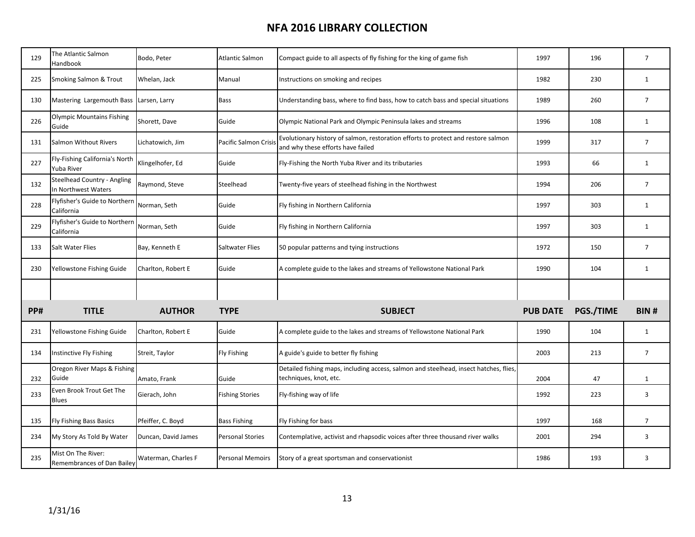| 129 | The Atlantic Salmon<br>Handbook                           | Bodo, Peter         | <b>Atlantic Salmon</b>       | Compact guide to all aspects of fly fishing for the king of game fish                                                  | 1997            | 196       | $\overline{7}$ |
|-----|-----------------------------------------------------------|---------------------|------------------------------|------------------------------------------------------------------------------------------------------------------------|-----------------|-----------|----------------|
| 225 | Smoking Salmon & Trout                                    | Whelan, Jack        | Manual                       | Instructions on smoking and recipes                                                                                    | 1982            | 230       | $\mathbf{1}$   |
| 130 | Mastering Largemouth Bass                                 | Larsen, Larry       | <b>Bass</b>                  | Understanding bass, where to find bass, how to catch bass and special situations                                       | 1989            | 260       | $\overline{7}$ |
| 226 | <b>Olympic Mountains Fishing</b><br>Guide                 | Shorett, Dave       | Guide                        | Olympic National Park and Olympic Peninsula lakes and streams                                                          | 1996            | 108       | $\mathbf{1}$   |
| 131 | Salmon Without Rivers                                     | Lichatowich, Jim    | <b>Pacific Salmon Crisis</b> | Evolutionary history of salmon, restoration efforts to protect and restore salmon<br>and why these efforts have failed | 1999            | 317       | $\overline{7}$ |
| 227 | Fly-Fishing California's North<br>Yuba River              | Klingelhofer, Ed    | Guide                        | Fly-Fishing the North Yuba River and its tributaries                                                                   | 1993            | 66        | $\mathbf{1}$   |
| 132 | <b>Steelhead Country - Angling</b><br>In Northwest Waters | Raymond, Steve      | Steelhead                    | Twenty-five years of steelhead fishing in the Northwest                                                                | 1994            | 206       | $\overline{7}$ |
| 228 | Flyfisher's Guide to Northern<br>California               | Norman, Seth        | Guide                        | Fly fishing in Northern California                                                                                     | 1997            | 303       | $\mathbf{1}$   |
| 229 | Flyfisher's Guide to Northern<br>California               | Norman, Seth        | Guide                        | Fly fishing in Northern California                                                                                     | 1997            | 303       | $\mathbf{1}$   |
| 133 | Salt Water Flies                                          | Bay, Kenneth E      | <b>Saltwater Flies</b>       | 50 popular patterns and tying instructions                                                                             | 1972            | 150       | $\overline{7}$ |
| 230 | Yellowstone Fishing Guide                                 | Charlton, Robert E  | Guide                        | A complete guide to the lakes and streams of Yellowstone National Park                                                 | 1990            | 104       | $\mathbf{1}$   |
|     |                                                           |                     |                              |                                                                                                                        |                 |           |                |
| PP# | <b>TITLE</b>                                              | <b>AUTHOR</b>       | <b>TYPE</b>                  | <b>SUBJECT</b>                                                                                                         | <b>PUB DATE</b> | PGS./TIME | <b>BIN#</b>    |
| 231 | Yellowstone Fishing Guide                                 | Charlton, Robert E  | Guide                        | A complete guide to the lakes and streams of Yellowstone National Park                                                 | 1990            | 104       | $\mathbf{1}$   |
| 134 | Instinctive Fly Fishing                                   | Streit, Taylor      | <b>Fly Fishing</b>           | A guide's guide to better fly fishing                                                                                  | 2003            | 213       | $\overline{7}$ |
| 232 | Oregon River Maps & Fishing<br>Guide                      | Amato, Frank        | Guide                        | Detailed fishing maps, including access, salmon and steelhead, insect hatches, flies,<br>techniques, knot, etc.        | 2004            | 47        | $\mathbf{1}$   |
| 233 | Even Brook Trout Get The<br><b>Blues</b>                  | Gierach, John       | <b>Fishing Stories</b>       | Fly-fishing way of life                                                                                                | 1992            | 223       | 3              |
| 135 | <b>Fly Fishing Bass Basics</b>                            | Pfeiffer, C. Boyd   | <b>Bass Fishing</b>          | Fly Fishing for bass                                                                                                   | 1997            | 168       | $\overline{7}$ |
| 234 | My Story As Told By Water                                 | Duncan, David James | <b>Personal Stories</b>      | Contemplative, activist and rhapsodic voices after three thousand river walks                                          | 2001            | 294       | 3              |
| 235 | Mist On The River:<br>Remembrances of Dan Bailey          | Waterman, Charles F | <b>Personal Memoirs</b>      | Story of a great sportsman and conservationist                                                                         | 1986            | 193       | 3              |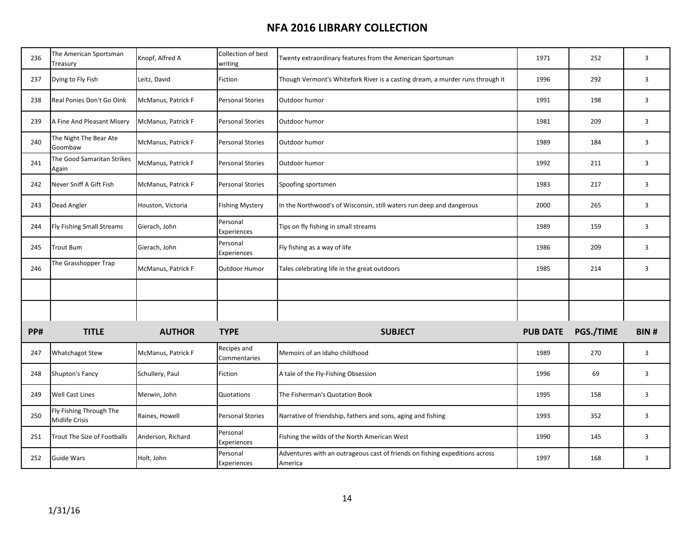| 236 | The American Sportsman<br>Treasury        | Knopf, Alfred A    | Collection of best<br>writing | Twenty extraordinary features from the American Sportsman                              | 1971            | 252       | 3              |
|-----|-------------------------------------------|--------------------|-------------------------------|----------------------------------------------------------------------------------------|-----------------|-----------|----------------|
| 237 | Dying to Fly Fish                         | Leitz, David       | Fiction                       | Though Vermont's Whitefork River is a casting dream, a murder runs through it          | 1996            | 292       | 3              |
| 238 | Real Ponies Don't Go Oink                 | McManus, Patrick F | <b>Personal Stories</b>       | Outdoor humor                                                                          | 1991            | 198       | $\mathbf{3}$   |
| 239 | A Fine And Pleasant Misery                | McManus, Patrick F | <b>Personal Stories</b>       | Outdoor humor                                                                          | 1981            | 209       | 3              |
| 240 | The Night The Bear Ate<br>Goombaw         | McManus, Patrick F | <b>Personal Stories</b>       | Outdoor humor                                                                          | 1989            | 184       | $\overline{3}$ |
| 241 | The Good Samaritan Strikes<br>Again       | McManus, Patrick F | <b>Personal Stories</b>       | Outdoor humor                                                                          | 1992            | 211       | $\mathbf{3}$   |
| 242 | Never Sniff A Gift Fish                   | McManus, Patrick F | <b>Personal Stories</b>       | Spoofing sportsmen                                                                     | 1983            | 217       | 3              |
| 243 | Dead Angler                               | Houston, Victoria  | <b>Fishing Mystery</b>        | In the Northwood's of Wisconsin, still waters run deep and dangerous                   | 2000            | 265       | $\overline{3}$ |
| 244 | Fly Fishing Small Streams                 | Gierach, John      | Personal<br>Experiences       | Tips on fly fishing in small streams                                                   | 1989            | 159       | 3              |
| 245 | <b>Trout Bum</b>                          | Gierach, John      | Personal<br>Experiences       | Fly fishing as a way of life                                                           | 1986            | 209       | 3              |
| 246 | The Grasshopper Trap                      | McManus, Patrick F | Outdoor Humor                 | Tales celebrating life in the great outdoors                                           | 1985            | 214       | 3              |
|     |                                           |                    |                               |                                                                                        |                 |           |                |
|     |                                           |                    |                               |                                                                                        |                 |           |                |
| PP# | <b>TITLE</b>                              | <b>AUTHOR</b>      | <b>TYPE</b>                   | <b>SUBJECT</b>                                                                         | <b>PUB DATE</b> | PGS./TIME | <b>BIN#</b>    |
| 247 | <b>Whatchagot Stew</b>                    | McManus, Patrick F | Recipes and<br>Commentaries   | Memoirs of an Idaho childhood                                                          | 1989            | 270       | $\mathbf{3}$   |
| 248 | Shupton's Fancy                           | Schullery, Paul    | Fiction                       | A tale of the Fly-Fishing Obsession                                                    | 1996            | 69        | 3              |
| 249 | <b>Well Cast Lines</b>                    | Merwin, John       | Quotations                    | The Fisherman's Quotation Book                                                         | 1995            | 158       | $\overline{3}$ |
| 250 | Fly Fishing Through The<br>Midlife Crisis | Raines, Howell     | <b>Personal Stories</b>       | Narrative of friendship, fathers and sons, aging and fishing                           | 1993            | 352       | $\mathbf{3}$   |
| 251 | Trout The Size of Footballs               | Anderson, Richard  | Personal<br>Experiences       | Fishing the wilds of the North American West                                           | 1990            | 145       | 3              |
| 252 | <b>Guide Wars</b>                         | Holt, John         | Personal<br>Experiences       | Adventures with an outrageous cast of friends on fishing expeditions across<br>America | 1997            | 168       | 3              |
|     |                                           |                    |                               |                                                                                        |                 |           |                |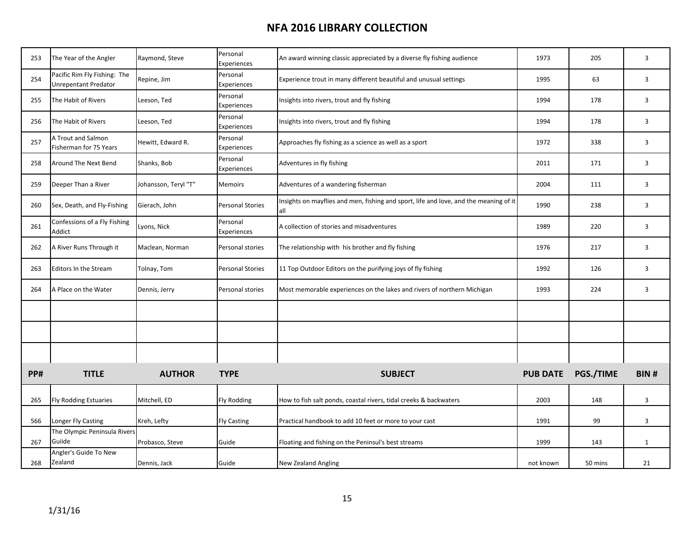| 253 | The Year of the Angler                                      | Raymond, Steve       | Personal<br><b>Experiences</b> | An award winning classic appreciated by a diverse fly fishing audience                        | 1973            | 205       | 3            |
|-----|-------------------------------------------------------------|----------------------|--------------------------------|-----------------------------------------------------------------------------------------------|-----------------|-----------|--------------|
| 254 | Pacific Rim Fly Fishing: The<br><b>Unrepentant Predator</b> | Repine, Jim          | Personal<br>Experiences        | Experience trout in many different beautiful and unusual settings                             | 1995            | 63        | 3            |
| 255 | The Habit of Rivers                                         | Leeson, Ted          | Personal<br>Experiences        | Insights into rivers, trout and fly fishing                                                   | 1994            | 178       | 3            |
| 256 | The Habit of Rivers                                         | Leeson, Ted          | Personal<br>Experiences        | Insights into rivers, trout and fly fishing                                                   | 1994            | 178       | 3            |
| 257 | A Trout and Salmon<br>Fisherman for 75 Years                | Hewitt, Edward R.    | Personal<br>Experiences        | Approaches fly fishing as a science as well as a sport                                        | 1972            | 338       | 3            |
| 258 | <b>Around The Next Bend</b>                                 | Shanks, Bob          | Personal<br>Experiences        | Adventures in fly fishing                                                                     | 2011            | 171       | 3            |
| 259 | Deeper Than a River                                         | Johansson, Teryl "T" | <b>Memoirs</b>                 | Adventures of a wandering fisherman                                                           | 2004            | 111       | 3            |
| 260 | Sex, Death, and Fly-Fishing                                 | Gierach, John        | <b>Personal Stories</b>        | Insights on mayflies and men, fishing and sport, life and love, and the meaning of it<br>lall | 1990            | 238       | 3            |
| 261 | Confessions of a Fly Fishing<br>Addict                      | Lyons, Nick          | Personal<br>Experiences        | A collection of stories and misadventures                                                     | 1989            | 220       | 3            |
| 262 | A River Runs Through it                                     | Maclean, Norman      | Personal stories               | The relationship with his brother and fly fishing                                             | 1976            | 217       | 3            |
| 263 | <b>Editors In the Stream</b>                                | Tolnay, Tom          | <b>Personal Stories</b>        | 11 Top Outdoor Editors on the purifying joys of fly fishing                                   | 1992            | 126       | 3            |
| 264 | A Place on the Water                                        | Dennis, Jerry        | Personal stories               | Most memorable experiences on the lakes and rivers of northern Michigan                       | 1993            | 224       | 3            |
|     |                                                             |                      |                                |                                                                                               |                 |           |              |
|     |                                                             |                      |                                |                                                                                               |                 |           |              |
|     |                                                             |                      |                                |                                                                                               |                 |           |              |
| PP# | <b>TITLE</b>                                                | <b>AUTHOR</b>        | <b>TYPE</b>                    | <b>SUBJECT</b>                                                                                | <b>PUB DATE</b> | PGS./TIME | <b>BIN#</b>  |
| 265 | <b>Fly Rodding Estuaries</b>                                | Mitchell, ED         | <b>Fly Rodding</b>             | How to fish salt ponds, coastal rivers, tidal creeks & backwaters                             | 2003            | 148       | 3            |
| 566 | Longer Fly Casting                                          | Kreh, Lefty          | <b>Fly Casting</b>             | Practical handbook to add 10 feet or more to your cast                                        | 1991            | 99        | 3            |
| 267 | The Olympic Peninsula Rivers<br>Guiide                      | Probasco, Steve      | Guide                          | Floating and fishing on the Peninsul's best streams                                           | 1999            | 143       | $\mathbf{1}$ |
| 268 | Angler's Guide To New<br>Zealand                            | Dennis, Jack         | Guide                          | <b>New Zealand Angling</b>                                                                    | not known       | 50 mins   | 21           |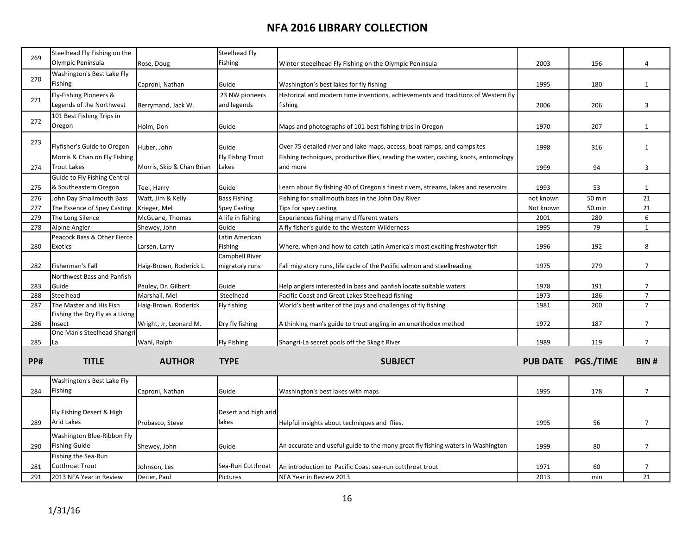| 269 | Steelhead Fly Fishing on the          |                           | Steelhead Fly        |                                                                                     |                 |               |                |
|-----|---------------------------------------|---------------------------|----------------------|-------------------------------------------------------------------------------------|-----------------|---------------|----------------|
|     | Olympic Peninsula                     | Rose, Doug                | Fishing              | Winter steeelhead Fly Fishing on the Olympic Peninsula                              | 2003            | 156           | 4              |
| 270 | Washington's Best Lake Fly            |                           |                      |                                                                                     |                 |               |                |
|     | Fishing                               | Caproni, Nathan           | Guide                | Washington's best lakes for fly fishing                                             | 1995            | 180           | $\mathbf{1}$   |
|     | Fly-Fishing Pioneers &                |                           | 23 NW pioneers       | Historical and modern time inventions, achievements and traditions of Western fly   |                 |               |                |
| 271 | Legends of the Northwest              | Berrymand, Jack W.        | and legends          | fishing                                                                             | 2006            | 206           | 3              |
|     | 101 Best Fishing Trips in             |                           |                      |                                                                                     |                 |               |                |
| 272 | Oregon                                | Holm, Don                 | Guide                | Maps and photographs of 101 best fishing trips in Oregon                            | 1970            | 207           | $\mathbf{1}$   |
|     |                                       |                           |                      |                                                                                     |                 |               |                |
| 273 | Flyfisher's Guide to Oregon           | Huber, John               | Guide                | Over 75 detailed river and lake maps, access, boat ramps, and campsites             | 1998            | 316           | $\mathbf{1}$   |
|     | Morris & Chan on Fly Fishing          |                           | Fly Fishng Trout     | Fishing techniques, productive flies, reading the water, casting, knots, entomology |                 |               |                |
| 274 | <b>Trout Lakes</b>                    | Morris, Skip & Chan Brian | Lakes                | and more                                                                            | 1999            | 94            | 3              |
|     | Guide to Fly Fishing Central          |                           |                      |                                                                                     |                 |               |                |
|     | & Southeastern Oregon                 |                           |                      | Learn about fly fishing 40 of Oregon's finest rivers, streams, lakes and reservoirs |                 |               |                |
| 275 |                                       | Teel, Harry               | Guide                |                                                                                     | 1993            | 53            | $\mathbf{1}$   |
| 276 | John Day Smallmouth Bass              | Watt, Jim & Kelly         | <b>Bass Fishing</b>  | Fishing for smallmouth bass in the John Day River                                   | not known       | 50 min        | 21             |
| 277 | The Essence of Spey Casting           | Krieger, Mel              | <b>Spey Casting</b>  | Tips for spey casting<br>Experiences fishing many different waters                  | Not known       | <b>50 min</b> | 21<br>6        |
| 279 | The Long Silence                      | McGuane, Thomas           | A life in fishing    |                                                                                     | 2001            | 280           |                |
| 278 | Alpine Angler                         | Shewey, John              | Guide                | A fly fisher's guide to the Western Wilderness                                      | 1995            | 79            | $\mathbf{1}$   |
|     | Peacock Bass & Other Fierce           |                           | Latin American       |                                                                                     |                 |               |                |
| 280 | Exotics                               | Larsen, Larry             | Fishing              | Where, when and how to catch Latin America's most exciting freshwater fish          | 1996            | 192           | 8              |
|     |                                       |                           | Campbell River       |                                                                                     |                 |               |                |
| 282 | Fisherman's Fall                      | Haig-Brown, Roderick L.   | migratory runs       | Fall migratory runs, life cycle of the Pacific salmon and steelheading              | 1975            | 279           | $\overline{7}$ |
|     | Northwest Bass and Panfish            |                           |                      |                                                                                     |                 |               |                |
| 283 | Guide                                 | Pauley, Dr. Gilbert       | Guide                | Help anglers interested in bass and panfish locate suitable waters                  | 1978            | 191           | $\overline{7}$ |
| 288 | Steelhead                             | Marshall, Mel             | Steelhead            | Pacific Coast and Great Lakes Steelhead fishing                                     | 1973            | 186           | $\overline{7}$ |
| 287 | The Master and His Fish               | Haig-Brown, Roderick      | Fly fishing          | World's best writer of the joys and challenges of fly fishing                       | 1981            | 200           | $\overline{7}$ |
|     | Fishing the Dry Fly as a Living       |                           |                      |                                                                                     |                 |               | $7^{\circ}$    |
| 286 | Insect<br>One Man's Steelhead Shangri | Wright, Jr, Leonard M.    | Dry fly fishing      | A thinking man's guide to trout angling in an unorthodox method                     | 1972            | 187           |                |
| 285 | La                                    | Wahl, Ralph               | <b>Fly Fishing</b>   | Shangri-La secret pools off the Skagit River                                        | 1989            | 119           | $\overline{7}$ |
|     |                                       |                           |                      |                                                                                     |                 |               |                |
| PP# | <b>TITLE</b>                          | <b>AUTHOR</b>             | <b>TYPE</b>          | <b>SUBJECT</b>                                                                      | <b>PUB DATE</b> | PGS./TIME     | <b>BIN#</b>    |
|     |                                       |                           |                      |                                                                                     |                 |               |                |
|     | Washington's Best Lake Fly            |                           |                      |                                                                                     |                 |               |                |
| 284 | Fishing                               | Caproni, Nathan           | Guide                | Washington's best lakes with maps                                                   | 1995            | 178           | $\overline{7}$ |
|     |                                       |                           |                      |                                                                                     |                 |               |                |
|     | Fly Fishing Desert & High             |                           | Desert and high arid |                                                                                     |                 |               |                |
|     | <b>Arid Lakes</b>                     |                           | lakes                |                                                                                     |                 |               |                |
| 289 |                                       | Probasco, Steve           |                      | Helpful insights about techniques and flies.                                        | 1995            | 56            | $\overline{7}$ |
|     | Washington Blue-Ribbon Fly            |                           |                      |                                                                                     |                 |               |                |
| 290 | <b>Fishing Guide</b>                  | Shewey, John              | Guide                | An accurate and useful guide to the many great fly fishing waters in Washington     | 1999            | 80            | $\overline{7}$ |
|     | Fishing the Sea-Run                   |                           |                      |                                                                                     |                 |               |                |
| 281 | <b>Cutthroat Trout</b>                | Johnson, Les              | Sea-Run Cutthroat    | An introduction to Pacific Coast sea-run cutthroat trout                            | 1971            | 60            | $\overline{7}$ |
| 291 | 2013 NFA Year in Review               | Deiter, Paul              | Pictures             | NFA Year in Review 2013                                                             | 2013            | min           | 21             |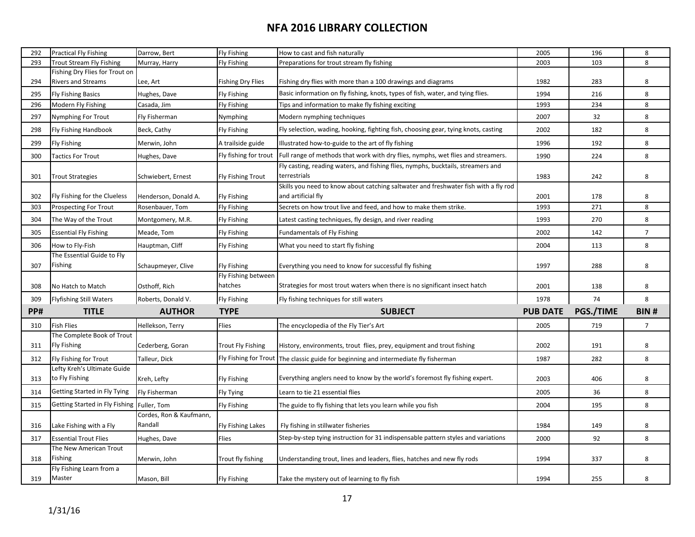| 292 | <b>Practical Fly Fishing</b>                  | Darrow, Bert            | <b>Fly Fishing</b>       | How to cast and fish naturally                                                                   | 2005            | 196       | 8              |
|-----|-----------------------------------------------|-------------------------|--------------------------|--------------------------------------------------------------------------------------------------|-----------------|-----------|----------------|
| 293 | <b>Trout Stream Fly Fishing</b>               | Murray, Harry           | <b>Fly Fishing</b>       | Preparations for trout stream fly fishing                                                        | 2003            | 103       | 8              |
|     | Fishing Dry Flies for Trout on                |                         |                          |                                                                                                  |                 |           |                |
| 294 | Rivers and Streams                            | Lee, Art                | <b>Fishing Dry Flies</b> | Fishing dry flies with more than a 100 drawings and diagrams                                     | 1982            | 283       | 8              |
| 295 | <b>Fly Fishing Basics</b>                     | Hughes, Dave            | <b>Fly Fishing</b>       | Basic information on fly fishing, knots, types of fish, water, and tying flies.                  | 1994            | 216       | 8              |
| 296 | Modern Fly Fishing                            | Casada, Jim             | <b>Fly Fishing</b>       | Tips and information to make fly fishing exciting                                                | 1993            | 234       | 8              |
| 297 | Nymphing For Trout                            | Fly Fisherman           | Nymphing                 | Modern nymphing techniques                                                                       | 2007            | 32        | 8              |
| 298 | <b>Fly Fishing Handbook</b>                   | Beck, Cathy             | Fly Fishing              | Fly selection, wading, hooking, fighting fish, choosing gear, tying knots, casting               | 2002            | 182       | 8              |
| 299 | <b>Fly Fishing</b>                            | Merwin, John            | A trailside guide        | Illustrated how-to-guide to the art of fly fishing                                               | 1996            | 192       | 8              |
| 300 | <b>Tactics For Trout</b>                      | Hughes, Dave            | Fly fishing for trout    | Full range of methods that work with dry flies, nymphs, wet flies and streamers.                 | 1990            | 224       | 8              |
| 301 | <b>Trout Strategies</b>                       | Schwiebert, Ernest      | <b>Fly Fishing Trout</b> | Fly casting, reading waters, and fishing flies, nymphs, bucktails, streamers and<br>terrestrials | 1983            | 242       | 8              |
|     |                                               |                         |                          | Skills you need to know about catching saltwater and freshwater fish with a fly rod              |                 |           |                |
| 302 | Fly Fishing for the Clueless                  | Henderson, Donald A.    | <b>Fly Fishing</b>       | and artificial fly                                                                               | 2001            | 178       | 8              |
| 303 | <b>Prospecting For Trout</b>                  | Rosenbauer, Tom         | Fly Fishing              | Secrets on how trout live and feed, and how to make them strike.                                 | 1993            | 271       | 8              |
| 304 | The Way of the Trout                          | Montgomery, M.R.        | <b>Fly Fishing</b>       | Latest casting techniques, fly design, and river reading                                         | 1993            | 270       | 8              |
| 305 | <b>Essential Fly Fishing</b>                  | Meade, Tom              | <b>Fly Fishing</b>       | Fundamentals of Fly Fishing                                                                      | 2002            | 142       | $\overline{7}$ |
| 306 | How to Fly-Fish                               | Hauptman, Cliff         | <b>Fly Fishing</b>       | What you need to start fly fishing                                                               | 2004            | 113       | 8              |
| 307 | The Essential Guide to Fly<br>Fishing         | Schaupmeyer, Clive      | <b>Fly Fishing</b>       | Everything you need to know for successful fly fishing                                           | 1997            | 288       | 8              |
|     |                                               |                         | Fly Fishing between      |                                                                                                  |                 |           |                |
| 308 | No Hatch to Match                             | Osthoff, Rich           | hatches                  | Strategies for most trout waters when there is no significant insect hatch                       | 2001            | 138       | 8              |
| 309 | <b>Flyfishing Still Waters</b>                | Roberts, Donald V.      | <b>Fly Fishing</b>       | Fly fishing techniques for still waters                                                          | 1978            | 74        | 8              |
| PP# | <b>TITLE</b>                                  | <b>AUTHOR</b>           | <b>TYPE</b>              | <b>SUBJECT</b>                                                                                   | <b>PUB DATE</b> | PGS./TIME | BIN#           |
| 310 | <b>Fish Flies</b>                             | Hellekson, Terry        | Flies                    | The encyclopedia of the Fly Tier's Art                                                           | 2005            | 719       | $\overline{7}$ |
|     | The Complete Book of Trout                    |                         |                          |                                                                                                  |                 |           |                |
| 311 | <b>Fly Fishing</b>                            | Cederberg, Goran        | <b>Trout Fly Fishing</b> | History, environments, trout flies, prey, equipment and trout fishing                            | 2002            | 191       | 8              |
| 312 | Fly Fishing for Trout                         | Talleur, Dick           |                          | Fly Fishing for Trout The classic guide for beginning and intermediate fly fisherman             | 1987            | 282       | 8              |
| 313 | Lefty Kreh's Ultimate Guide<br>to Fly Fishing | Kreh, Lefty             | <b>Fly Fishing</b>       | Everything anglers need to know by the world's foremost fly fishing expert.                      | 2003            | 406       | 8              |
| 314 | Getting Started in Fly Tying                  | Fly Fisherman           | Fly Tying                | Learn to tie 21 essential flies                                                                  | 2005            | 36        | 8              |
| 315 | Getting Started in Fly Fishing                | Fuller, Tom             | Fly Fishing              | The guide to fly fishing that lets you learn while you fish                                      | 2004            | 195       | 8              |
|     |                                               | Cordes, Ron & Kaufmann, |                          |                                                                                                  |                 |           |                |
| 316 | Lake Fishing with a Fly                       | Randall                 | Fly Fishing Lakes        | Fly fishing in stillwater fisheries                                                              | 1984            | 149       | 8              |
| 317 | <b>Essential Trout Flies</b>                  | Hughes, Dave            | Flies                    | Step-by-step tying instruction for 31 indispensable pattern styles and variations                | 2000            | 92        | 8              |
|     |                                               |                         |                          |                                                                                                  |                 |           |                |
|     | The New American Trout                        |                         |                          |                                                                                                  |                 |           |                |
| 318 | Fishing<br>Fly Fishing Learn from a           | Merwin, John            | Trout fly fishing        | Understanding trout, lines and leaders, flies, hatches and new fly rods                          | 1994            | 337       | 8              |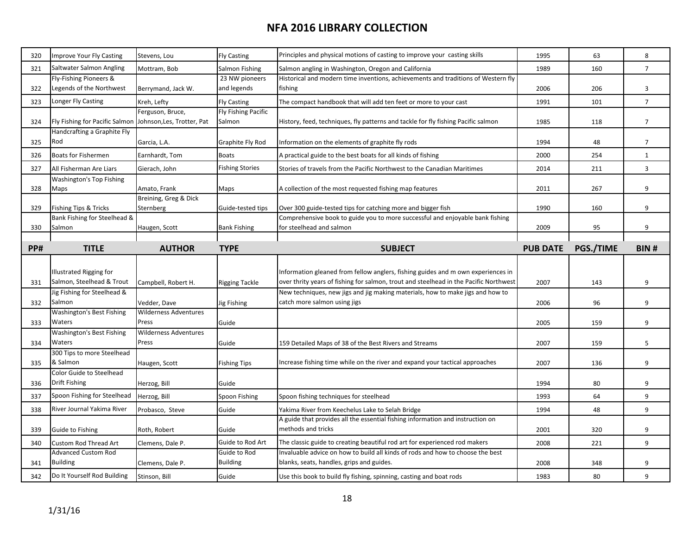| 320 | Improve Your Fly Casting         | Stevens, Lou                 | <b>Fly Casting</b>     | Principles and physical motions of casting to improve your casting skills             | 1995            | 63        | 8               |
|-----|----------------------------------|------------------------------|------------------------|---------------------------------------------------------------------------------------|-----------------|-----------|-----------------|
| 321 | Saltwater Salmon Angling         | Mottram, Bob                 | Salmon Fishing         | Salmon angling in Washington, Oregon and California                                   | 1989            | 160       | $\overline{7}$  |
|     | Fly-Fishing Pioneers &           |                              | 23 NW pioneers         | Historical and modern time inventions, achievements and traditions of Western fly     |                 |           |                 |
| 322 | Legends of the Northwest         | Berrymand, Jack W.           | and legends            | fishing                                                                               | 2006            | 206       | $\overline{3}$  |
| 323 | Longer Fly Casting               | Kreh, Lefty                  | <b>Fly Casting</b>     | The compact handbook that will add ten feet or more to your cast                      | 1991            | 101       | $7\overline{ }$ |
|     |                                  | Ferguson, Bruce,             | Fly Fishing Pacific    |                                                                                       |                 |           |                 |
| 324 | Fly Fishing for Pacific Salmon   | Johnson, Les, Trotter, Pat   | Salmon                 | History, feed, techniques, fly patterns and tackle for fly fishing Pacific salmon     | 1985            | 118       | $\overline{7}$  |
|     | Handcrafting a Graphite Fly      |                              |                        |                                                                                       |                 |           |                 |
| 325 | Rod                              | Garcia, L.A.                 | Graphite Fly Rod       | Information on the elements of graphite fly rods                                      | 1994            | 48        | $\overline{7}$  |
| 326 | Boats for Fishermen              | Earnhardt, Tom               | <b>Boats</b>           | A practical guide to the best boats for all kinds of fishing                          | 2000            | 254       | $\mathbf{1}$    |
| 327 | All Fisherman Are Liars          | Gierach, John                | <b>Fishing Stories</b> | Stories of travels from the Pacific Northwest to the Canadian Maritimes               | 2014            | 211       | 3               |
|     | Washington's Top Fishing         |                              |                        |                                                                                       |                 |           |                 |
| 328 | Maps                             | Amato, Frank                 | Maps                   | A collection of the most requested fishing map features                               | 2011            | 267       | 9               |
|     |                                  | Breining, Greg & Dick        |                        |                                                                                       |                 |           |                 |
| 329 | Fishing Tips & Tricks            | Sternberg                    | Guide-tested tips      | Over 300 guide-tested tips for catching more and bigger fish                          | 1990            | 160       | 9               |
|     | Bank Fishing for Steelhead &     |                              |                        | Comprehensive book to guide you to more successful and enjoyable bank fishing         |                 |           |                 |
| 330 | Salmon                           | Haugen, Scott                | <b>Bank Fishing</b>    | for steelhead and salmon                                                              | 2009            | 95        | 9               |
|     |                                  |                              |                        |                                                                                       |                 |           |                 |
| PP# | <b>TITLE</b>                     | <b>AUTHOR</b>                | <b>TYPE</b>            | <b>SUBJECT</b>                                                                        | <b>PUB DATE</b> | PGS./TIME | <b>BIN#</b>     |
|     |                                  |                              |                        |                                                                                       |                 |           |                 |
|     | Illustrated Rigging for          |                              |                        | Information gleaned from fellow anglers, fishing guides and m own experiences in      |                 |           |                 |
| 331 | Salmon, Steelhead & Trout        | Campbell, Robert H.          | <b>Rigging Tackle</b>  | over thrity years of fishing for salmon, trout and steelhead in the Pacific Northwest | 2007            | 143       | 9               |
|     | Jig Fishing for Steelhead &      |                              |                        | New techniques, new jigs and jig making materials, how to make jigs and how to        |                 |           |                 |
| 332 | Salmon                           |                              |                        | catch more salmon using jigs                                                          |                 |           |                 |
|     |                                  | Vedder, Dave                 | Jig Fishing            |                                                                                       | 2006            | 96        | 9               |
|     | Washington's Best Fishing        | <b>Wilderness Adventures</b> |                        |                                                                                       |                 |           |                 |
| 333 | Waters                           | Press                        | Guide                  |                                                                                       | 2005            | 159       | 9               |
|     | <b>Washington's Best Fishing</b> | <b>Wilderness Adventures</b> |                        |                                                                                       |                 |           |                 |
| 334 | Waters                           | Press                        | Guide                  | 159 Detailed Maps of 38 of the Best Rivers and Streams                                | 2007            | 159       | 5               |
|     | 300 Tips to more Steelhead       |                              |                        |                                                                                       |                 |           |                 |
| 335 | & Salmon                         | Haugen, Scott                | <b>Fishing Tips</b>    | Increase fishing time while on the river and expand your tactical approaches          | 2007            | 136       | 9               |
|     | <b>Color Guide to Steelhead</b>  |                              |                        |                                                                                       |                 |           |                 |
| 336 | Drift Fishing                    | Herzog, Bill                 | Guide                  |                                                                                       | 1994            | 80        | 9               |
| 337 | Spoon Fishing for Steelhead      | Herzog, Bill                 | Spoon Fishing          | Spoon fishing techniques for steelhead                                                | 1993            | 64        | 9               |
| 338 | River Journal Yakima River       | Probasco, Steve              | Guide                  | Yakima River from Keechelus Lake to Selah Bridge                                      | 1994            | 48        | 9               |
|     |                                  |                              |                        | A guide that provides all the essential fishing information and instruction on        |                 |           |                 |
| 339 | Guide to Fishing                 | Roth, Robert                 | Guide                  | methods and tricks                                                                    | 2001            | 320       | 9               |
| 340 | <b>Custom Rod Thread Art</b>     | Clemens, Dale P.             | Guide to Rod Art       | The classic guide to creating beautiful rod art for experienced rod makers            | 2008            | 221       | 9               |
|     | <b>Advanced Custom Rod</b>       |                              | Guide to Rod           | Invaluable advice on how to build all kinds of rods and how to choose the best        |                 |           |                 |
| 341 | <b>Building</b>                  | Clemens, Dale P.             | <b>Building</b>        | blanks, seats, handles, grips and guides.                                             | 2008            | 348       | 9               |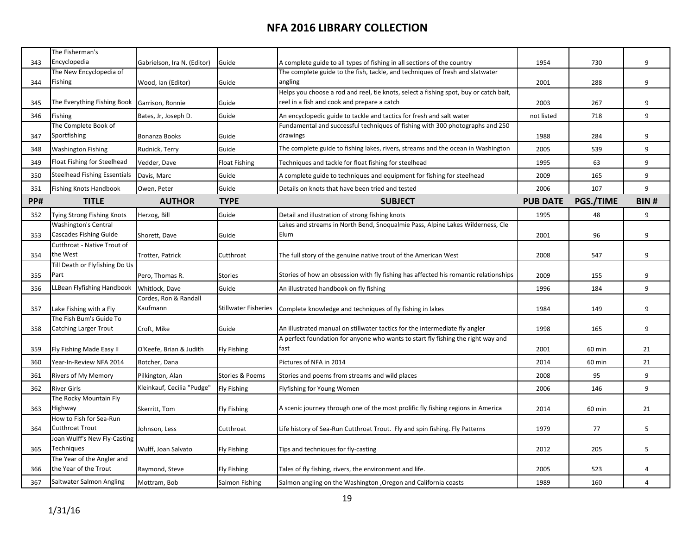| Encyclopedia<br>9<br>343<br>Gabrielson, Ira N. (Editor)<br>Guide<br>A complete guide to all types of fishing in all sections of the country<br>1954<br>730<br>The complete guide to the fish, tackle, and techniques of fresh and slatwater<br>The New Encyclopedia of<br>Fishing<br>angling<br>2001<br>288<br>9<br>344<br>Wood, Ian (Editor)<br>Guide<br>Helps you choose a rod and reel, tie knots, select a fishing spot, buy or catch bait,<br>The Everything Fishing Book<br>reel in a fish and cook and prepare a catch<br>2003<br>267<br>9<br>345<br>Garrison, Ronnie<br>Guide<br>718<br>9<br>Fishing<br>Bates, Jr, Joseph D.<br>Guide<br>not listed<br>346<br>An encyclopedic guide to tackle and tactics for fresh and salt water<br>The Complete Book of<br>Fundamental and successful techniques of fishing with 300 photographs and 250<br>Sportfishing<br>drawings<br>9<br>347<br>Bonanza Books<br>Guide<br>1988<br>284<br>The complete guide to fishing lakes, rivers, streams and the ocean in Washington<br><b>Washington Fishing</b><br>Rudnick, Terry<br>Guide<br>2005<br>539<br>9<br>348<br>Float Fishing for Steelhead<br>9<br>349<br>Vedder, Dave<br>Float Fishing<br>Techniques and tackle for float fishing for steelhead<br>1995<br>63<br><b>Steelhead Fishing Essentials</b><br>9<br>350<br>Davis, Marc<br>Guide<br>A complete guide to techniques and equipment for fishing for steelhead<br>2009<br>165<br>9<br><b>Fishing Knots Handbook</b><br>Guide<br>Details on knots that have been tried and tested<br>2006<br>107<br>351<br>Owen, Peter<br>PP#<br><b>TITLE</b><br><b>AUTHOR</b><br>PGS./TIME<br><b>TYPE</b><br><b>PUB DATE</b><br><b>SUBJECT</b><br>Tying Strong Fishing Knots<br>Guide<br>1995<br>48<br>9<br>352<br>Herzog, Bill<br>Detail and illustration of strong fishing knots<br><b>Washington's Central</b><br>Lakes and streams in North Bend, Snoqualmie Pass, Alpine Lakes Wilderness, Cle<br><b>Cascades Fishing Guide</b><br>Elum<br>9<br>353<br>Guide<br>2001<br>96<br>Shorett, Dave | The Fisherman's             |  |  |             |
|---------------------------------------------------------------------------------------------------------------------------------------------------------------------------------------------------------------------------------------------------------------------------------------------------------------------------------------------------------------------------------------------------------------------------------------------------------------------------------------------------------------------------------------------------------------------------------------------------------------------------------------------------------------------------------------------------------------------------------------------------------------------------------------------------------------------------------------------------------------------------------------------------------------------------------------------------------------------------------------------------------------------------------------------------------------------------------------------------------------------------------------------------------------------------------------------------------------------------------------------------------------------------------------------------------------------------------------------------------------------------------------------------------------------------------------------------------------------------------------------------------------------------------------------------------------------------------------------------------------------------------------------------------------------------------------------------------------------------------------------------------------------------------------------------------------------------------------------------------------------------------------------------------------------------------------------------------------------------------------------------------------------------------------|-----------------------------|--|--|-------------|
|                                                                                                                                                                                                                                                                                                                                                                                                                                                                                                                                                                                                                                                                                                                                                                                                                                                                                                                                                                                                                                                                                                                                                                                                                                                                                                                                                                                                                                                                                                                                                                                                                                                                                                                                                                                                                                                                                                                                                                                                                                       |                             |  |  |             |
|                                                                                                                                                                                                                                                                                                                                                                                                                                                                                                                                                                                                                                                                                                                                                                                                                                                                                                                                                                                                                                                                                                                                                                                                                                                                                                                                                                                                                                                                                                                                                                                                                                                                                                                                                                                                                                                                                                                                                                                                                                       |                             |  |  |             |
|                                                                                                                                                                                                                                                                                                                                                                                                                                                                                                                                                                                                                                                                                                                                                                                                                                                                                                                                                                                                                                                                                                                                                                                                                                                                                                                                                                                                                                                                                                                                                                                                                                                                                                                                                                                                                                                                                                                                                                                                                                       |                             |  |  |             |
|                                                                                                                                                                                                                                                                                                                                                                                                                                                                                                                                                                                                                                                                                                                                                                                                                                                                                                                                                                                                                                                                                                                                                                                                                                                                                                                                                                                                                                                                                                                                                                                                                                                                                                                                                                                                                                                                                                                                                                                                                                       |                             |  |  |             |
|                                                                                                                                                                                                                                                                                                                                                                                                                                                                                                                                                                                                                                                                                                                                                                                                                                                                                                                                                                                                                                                                                                                                                                                                                                                                                                                                                                                                                                                                                                                                                                                                                                                                                                                                                                                                                                                                                                                                                                                                                                       |                             |  |  |             |
|                                                                                                                                                                                                                                                                                                                                                                                                                                                                                                                                                                                                                                                                                                                                                                                                                                                                                                                                                                                                                                                                                                                                                                                                                                                                                                                                                                                                                                                                                                                                                                                                                                                                                                                                                                                                                                                                                                                                                                                                                                       |                             |  |  |             |
|                                                                                                                                                                                                                                                                                                                                                                                                                                                                                                                                                                                                                                                                                                                                                                                                                                                                                                                                                                                                                                                                                                                                                                                                                                                                                                                                                                                                                                                                                                                                                                                                                                                                                                                                                                                                                                                                                                                                                                                                                                       |                             |  |  |             |
|                                                                                                                                                                                                                                                                                                                                                                                                                                                                                                                                                                                                                                                                                                                                                                                                                                                                                                                                                                                                                                                                                                                                                                                                                                                                                                                                                                                                                                                                                                                                                                                                                                                                                                                                                                                                                                                                                                                                                                                                                                       |                             |  |  |             |
|                                                                                                                                                                                                                                                                                                                                                                                                                                                                                                                                                                                                                                                                                                                                                                                                                                                                                                                                                                                                                                                                                                                                                                                                                                                                                                                                                                                                                                                                                                                                                                                                                                                                                                                                                                                                                                                                                                                                                                                                                                       |                             |  |  |             |
|                                                                                                                                                                                                                                                                                                                                                                                                                                                                                                                                                                                                                                                                                                                                                                                                                                                                                                                                                                                                                                                                                                                                                                                                                                                                                                                                                                                                                                                                                                                                                                                                                                                                                                                                                                                                                                                                                                                                                                                                                                       |                             |  |  |             |
|                                                                                                                                                                                                                                                                                                                                                                                                                                                                                                                                                                                                                                                                                                                                                                                                                                                                                                                                                                                                                                                                                                                                                                                                                                                                                                                                                                                                                                                                                                                                                                                                                                                                                                                                                                                                                                                                                                                                                                                                                                       |                             |  |  |             |
|                                                                                                                                                                                                                                                                                                                                                                                                                                                                                                                                                                                                                                                                                                                                                                                                                                                                                                                                                                                                                                                                                                                                                                                                                                                                                                                                                                                                                                                                                                                                                                                                                                                                                                                                                                                                                                                                                                                                                                                                                                       |                             |  |  |             |
|                                                                                                                                                                                                                                                                                                                                                                                                                                                                                                                                                                                                                                                                                                                                                                                                                                                                                                                                                                                                                                                                                                                                                                                                                                                                                                                                                                                                                                                                                                                                                                                                                                                                                                                                                                                                                                                                                                                                                                                                                                       |                             |  |  | <b>BIN#</b> |
|                                                                                                                                                                                                                                                                                                                                                                                                                                                                                                                                                                                                                                                                                                                                                                                                                                                                                                                                                                                                                                                                                                                                                                                                                                                                                                                                                                                                                                                                                                                                                                                                                                                                                                                                                                                                                                                                                                                                                                                                                                       |                             |  |  |             |
|                                                                                                                                                                                                                                                                                                                                                                                                                                                                                                                                                                                                                                                                                                                                                                                                                                                                                                                                                                                                                                                                                                                                                                                                                                                                                                                                                                                                                                                                                                                                                                                                                                                                                                                                                                                                                                                                                                                                                                                                                                       |                             |  |  |             |
|                                                                                                                                                                                                                                                                                                                                                                                                                                                                                                                                                                                                                                                                                                                                                                                                                                                                                                                                                                                                                                                                                                                                                                                                                                                                                                                                                                                                                                                                                                                                                                                                                                                                                                                                                                                                                                                                                                                                                                                                                                       |                             |  |  |             |
|                                                                                                                                                                                                                                                                                                                                                                                                                                                                                                                                                                                                                                                                                                                                                                                                                                                                                                                                                                                                                                                                                                                                                                                                                                                                                                                                                                                                                                                                                                                                                                                                                                                                                                                                                                                                                                                                                                                                                                                                                                       | Cutthroat - Native Trout of |  |  |             |
| the West<br>2008<br>547<br>9<br>354<br>Trotter, Patrick<br>Cutthroat<br>The full story of the genuine native trout of the American West                                                                                                                                                                                                                                                                                                                                                                                                                                                                                                                                                                                                                                                                                                                                                                                                                                                                                                                                                                                                                                                                                                                                                                                                                                                                                                                                                                                                                                                                                                                                                                                                                                                                                                                                                                                                                                                                                               |                             |  |  |             |
| Till Death or Flyfishing Do Us                                                                                                                                                                                                                                                                                                                                                                                                                                                                                                                                                                                                                                                                                                                                                                                                                                                                                                                                                                                                                                                                                                                                                                                                                                                                                                                                                                                                                                                                                                                                                                                                                                                                                                                                                                                                                                                                                                                                                                                                        |                             |  |  |             |
| Part<br>Stories of how an obsession with fly fishing has affected his romantic relationships<br>9<br>2009<br>355<br>Pero, Thomas R.<br><b>Stories</b><br>155                                                                                                                                                                                                                                                                                                                                                                                                                                                                                                                                                                                                                                                                                                                                                                                                                                                                                                                                                                                                                                                                                                                                                                                                                                                                                                                                                                                                                                                                                                                                                                                                                                                                                                                                                                                                                                                                          |                             |  |  |             |
| LLBean Flyfishing Handbook<br>Whitlock, Dave<br>Guide<br>9<br>1996<br>184<br>356<br>An illustrated handbook on fly fishing                                                                                                                                                                                                                                                                                                                                                                                                                                                                                                                                                                                                                                                                                                                                                                                                                                                                                                                                                                                                                                                                                                                                                                                                                                                                                                                                                                                                                                                                                                                                                                                                                                                                                                                                                                                                                                                                                                            |                             |  |  |             |
| Cordes, Ron & Randall                                                                                                                                                                                                                                                                                                                                                                                                                                                                                                                                                                                                                                                                                                                                                                                                                                                                                                                                                                                                                                                                                                                                                                                                                                                                                                                                                                                                                                                                                                                                                                                                                                                                                                                                                                                                                                                                                                                                                                                                                 |                             |  |  |             |
| Kaufmann<br><b>Stillwater Fisheries</b><br>9<br>357<br>Lake Fishing with a Fly<br>Complete knowledge and techniques of fly fishing in lakes<br>1984<br>149                                                                                                                                                                                                                                                                                                                                                                                                                                                                                                                                                                                                                                                                                                                                                                                                                                                                                                                                                                                                                                                                                                                                                                                                                                                                                                                                                                                                                                                                                                                                                                                                                                                                                                                                                                                                                                                                            |                             |  |  |             |
| The Fish Bum's Guide To                                                                                                                                                                                                                                                                                                                                                                                                                                                                                                                                                                                                                                                                                                                                                                                                                                                                                                                                                                                                                                                                                                                                                                                                                                                                                                                                                                                                                                                                                                                                                                                                                                                                                                                                                                                                                                                                                                                                                                                                               |                             |  |  |             |
| <b>Catching Larger Trout</b><br>An illustrated manual on stillwater tactics for the intermediate fly angler<br>Guide<br>1998<br>9<br>358<br>Croft, Mike<br>165                                                                                                                                                                                                                                                                                                                                                                                                                                                                                                                                                                                                                                                                                                                                                                                                                                                                                                                                                                                                                                                                                                                                                                                                                                                                                                                                                                                                                                                                                                                                                                                                                                                                                                                                                                                                                                                                        |                             |  |  |             |
| A perfect foundation for anyone who wants to start fly fishing the right way and                                                                                                                                                                                                                                                                                                                                                                                                                                                                                                                                                                                                                                                                                                                                                                                                                                                                                                                                                                                                                                                                                                                                                                                                                                                                                                                                                                                                                                                                                                                                                                                                                                                                                                                                                                                                                                                                                                                                                      |                             |  |  |             |
| O'Keefe, Brian & Judith<br>2001<br>21<br>359<br>Fly Fishing Made Easy II<br><b>Fly Fishing</b><br>tast<br>60 min                                                                                                                                                                                                                                                                                                                                                                                                                                                                                                                                                                                                                                                                                                                                                                                                                                                                                                                                                                                                                                                                                                                                                                                                                                                                                                                                                                                                                                                                                                                                                                                                                                                                                                                                                                                                                                                                                                                      |                             |  |  |             |
| Year-In-Review NFA 2014<br>Pictures of NFA in 2014<br>2014<br>21<br>360<br>Botcher, Dana<br>60 min                                                                                                                                                                                                                                                                                                                                                                                                                                                                                                                                                                                                                                                                                                                                                                                                                                                                                                                                                                                                                                                                                                                                                                                                                                                                                                                                                                                                                                                                                                                                                                                                                                                                                                                                                                                                                                                                                                                                    |                             |  |  |             |
| Stories & Poems<br>9<br><b>Rivers of My Memory</b><br>Pilkington, Alan<br>2008<br>95<br>361<br>Stories and poems from streams and wild places                                                                                                                                                                                                                                                                                                                                                                                                                                                                                                                                                                                                                                                                                                                                                                                                                                                                                                                                                                                                                                                                                                                                                                                                                                                                                                                                                                                                                                                                                                                                                                                                                                                                                                                                                                                                                                                                                         |                             |  |  |             |
| Kleinkauf, Cecilia "Pudge"<br>9<br><b>Fly Fishing</b><br>2006<br>362<br><b>River Girls</b><br>Flyfishing for Young Women<br>146                                                                                                                                                                                                                                                                                                                                                                                                                                                                                                                                                                                                                                                                                                                                                                                                                                                                                                                                                                                                                                                                                                                                                                                                                                                                                                                                                                                                                                                                                                                                                                                                                                                                                                                                                                                                                                                                                                       |                             |  |  |             |
| The Rocky Mountain Fly                                                                                                                                                                                                                                                                                                                                                                                                                                                                                                                                                                                                                                                                                                                                                                                                                                                                                                                                                                                                                                                                                                                                                                                                                                                                                                                                                                                                                                                                                                                                                                                                                                                                                                                                                                                                                                                                                                                                                                                                                |                             |  |  |             |
| A scenic journey through one of the most prolific fly fishing regions in America<br>Highway<br>363<br>2014<br>21<br>Skerritt, Tom<br><b>Fly Fishing</b><br>60 min                                                                                                                                                                                                                                                                                                                                                                                                                                                                                                                                                                                                                                                                                                                                                                                                                                                                                                                                                                                                                                                                                                                                                                                                                                                                                                                                                                                                                                                                                                                                                                                                                                                                                                                                                                                                                                                                     |                             |  |  |             |
| How to Fish for Sea-Run                                                                                                                                                                                                                                                                                                                                                                                                                                                                                                                                                                                                                                                                                                                                                                                                                                                                                                                                                                                                                                                                                                                                                                                                                                                                                                                                                                                                                                                                                                                                                                                                                                                                                                                                                                                                                                                                                                                                                                                                               |                             |  |  |             |
| <b>Cutthroat Trout</b><br>5<br>1979<br>364<br>Cutthroat<br>Life history of Sea-Run Cutthroat Trout. Fly and spin fishing. Fly Patterns<br>77<br>Johnson, Less                                                                                                                                                                                                                                                                                                                                                                                                                                                                                                                                                                                                                                                                                                                                                                                                                                                                                                                                                                                                                                                                                                                                                                                                                                                                                                                                                                                                                                                                                                                                                                                                                                                                                                                                                                                                                                                                         |                             |  |  |             |
| Joan Wulff's New Fly-Casting                                                                                                                                                                                                                                                                                                                                                                                                                                                                                                                                                                                                                                                                                                                                                                                                                                                                                                                                                                                                                                                                                                                                                                                                                                                                                                                                                                                                                                                                                                                                                                                                                                                                                                                                                                                                                                                                                                                                                                                                          |                             |  |  |             |
| Techniques<br>5<br>Wulff, Joan Salvato<br>2012<br>205<br>365<br><b>Fly Fishing</b><br>Tips and techniques for fly-casting<br>The Year of the Angler and                                                                                                                                                                                                                                                                                                                                                                                                                                                                                                                                                                                                                                                                                                                                                                                                                                                                                                                                                                                                                                                                                                                                                                                                                                                                                                                                                                                                                                                                                                                                                                                                                                                                                                                                                                                                                                                                               |                             |  |  |             |
| the Year of the Trout<br>2005<br>523<br>366<br>Raymond, Steve<br><b>Fly Fishing</b><br>Tales of fly fishing, rivers, the environment and life.<br>4                                                                                                                                                                                                                                                                                                                                                                                                                                                                                                                                                                                                                                                                                                                                                                                                                                                                                                                                                                                                                                                                                                                                                                                                                                                                                                                                                                                                                                                                                                                                                                                                                                                                                                                                                                                                                                                                                   |                             |  |  |             |
| Saltwater Salmon Angling<br>367<br>Mottram, Bob<br><b>Salmon Fishing</b><br>Salmon angling on the Washington , Oregon and California coasts<br>1989<br>160<br>$\overline{4}$                                                                                                                                                                                                                                                                                                                                                                                                                                                                                                                                                                                                                                                                                                                                                                                                                                                                                                                                                                                                                                                                                                                                                                                                                                                                                                                                                                                                                                                                                                                                                                                                                                                                                                                                                                                                                                                          |                             |  |  |             |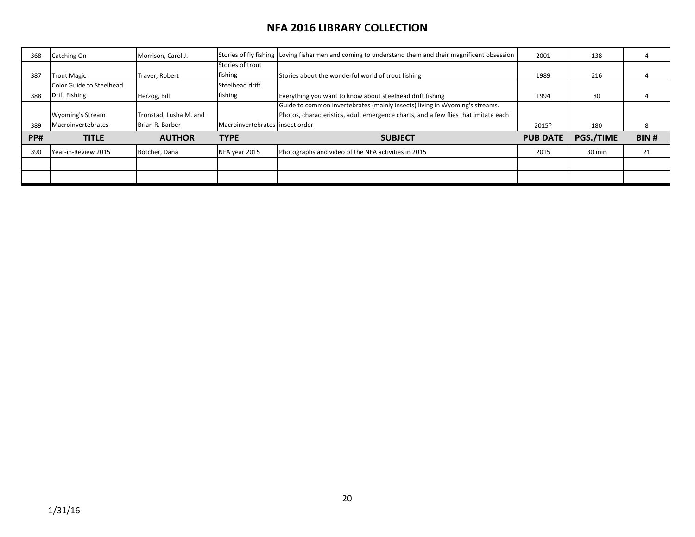| 368        | Catching On                     | Morrison, Carol J.     |                                 | Stories of fly fishing Loving fishermen and coming to understand them and their magnificent obsession | 2001            | 138              |      |
|------------|---------------------------------|------------------------|---------------------------------|-------------------------------------------------------------------------------------------------------|-----------------|------------------|------|
|            |                                 |                        | Stories of trout                |                                                                                                       |                 |                  |      |
| 387        | <b>Trout Magic</b>              | Traver, Robert         | fishing                         | Stories about the wonderful world of trout fishing                                                    | 1989            | 216              |      |
|            | <b>Color Guide to Steelhead</b> |                        | Steelhead drift                 |                                                                                                       |                 |                  |      |
| 388        | Drift Fishing                   | Herzog, Bill           | fishing                         | Everything you want to know about steelhead drift fishing                                             | 1994            | 80               |      |
|            |                                 |                        |                                 | Guide to common invertebrates (mainly insects) living in Wyoming's streams.                           |                 |                  |      |
|            | <b>Wyoming's Stream</b>         | Tronstad, Lusha M. and |                                 | Photos, characteristics, adult emergence charts, and a few flies that imitate each                    |                 |                  |      |
| 389        | Macroinvertebrates              | Brian R. Barber        | Macroinvertebrates insect order |                                                                                                       | 2015?           | 180              |      |
| <b>PP#</b> | <b>TITLE</b>                    | <b>AUTHOR</b>          | <b>TYPE</b>                     | <b>SUBJECT</b>                                                                                        | <b>PUB DATE</b> | <b>PGS./TIME</b> | BIN# |
| 39C        | Year-in-Review 2015             | Botcher, Dana          | NFA year 2015                   | Photographs and video of the NFA activities in 2015                                                   | 2015            | 30 min           | 21   |
|            |                                 |                        |                                 |                                                                                                       |                 |                  |      |
|            |                                 |                        |                                 |                                                                                                       |                 |                  |      |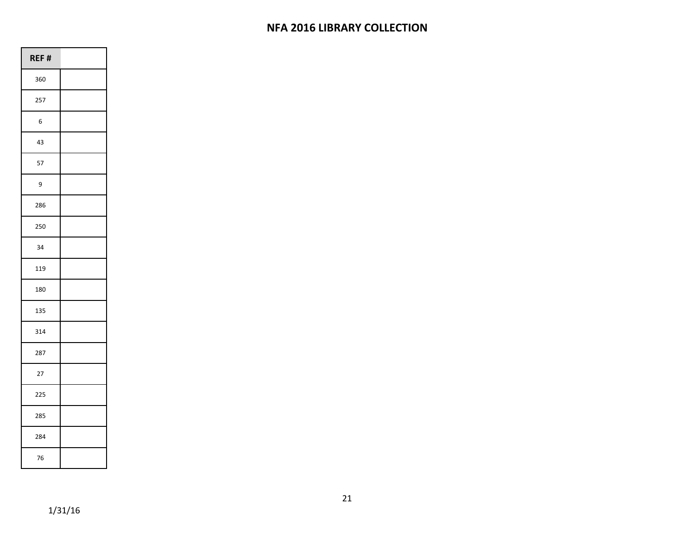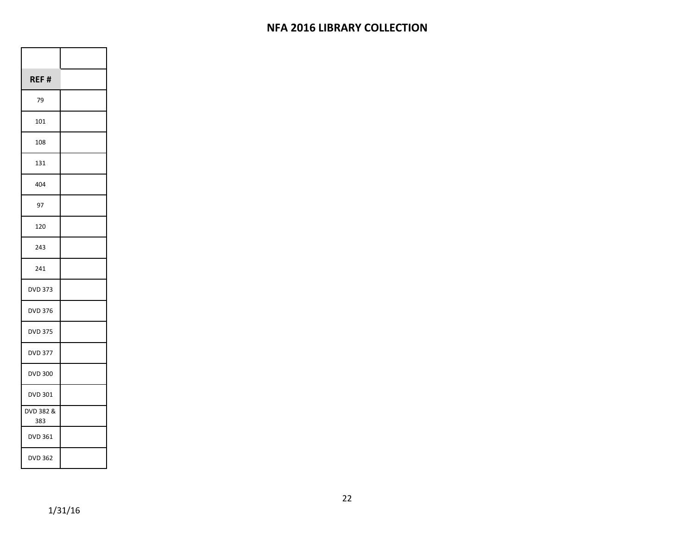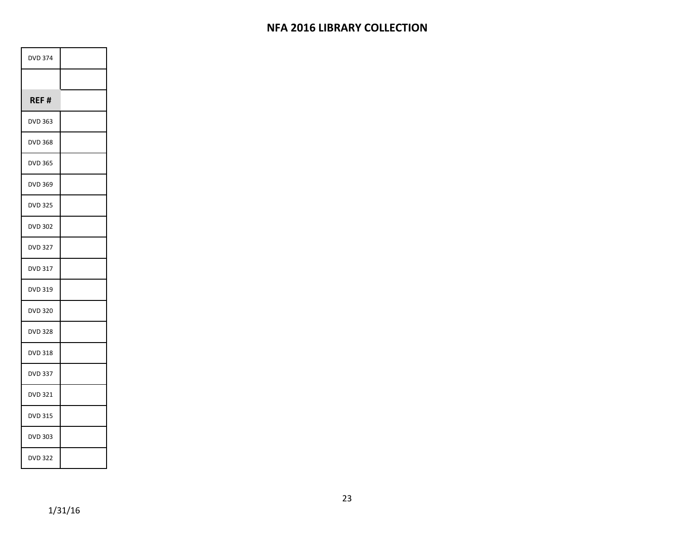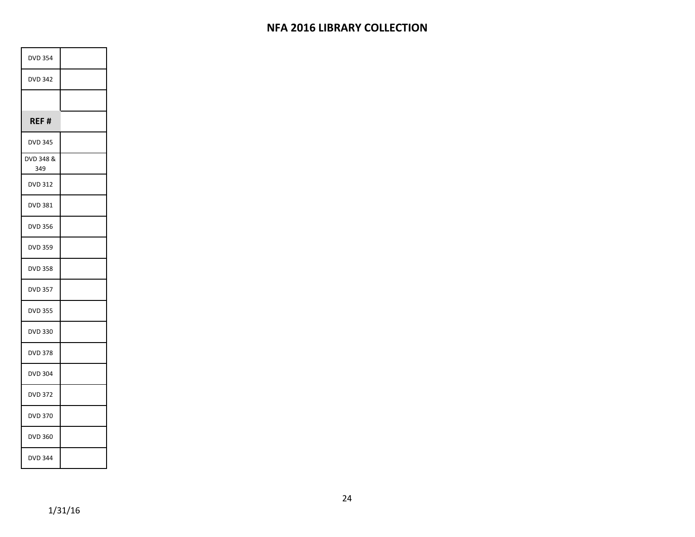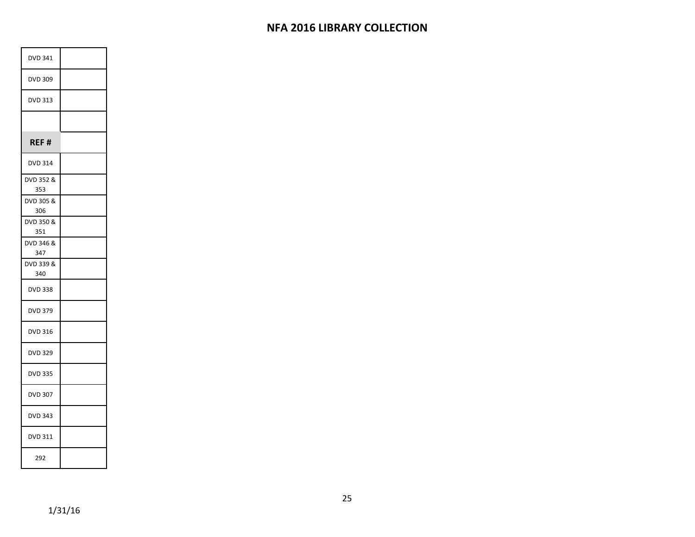| DVD 341          |  |
|------------------|--|
| DVD 309          |  |
| <b>DVD 313</b>   |  |
|                  |  |
| REF#             |  |
| <b>DVD 314</b>   |  |
| DVD 352 &<br>353 |  |
| DVD 305 &<br>306 |  |
| DVD 350 &<br>351 |  |
| DVD 346 &<br>347 |  |
| DVD 339 &<br>340 |  |
| <b>DVD 338</b>   |  |
| <b>DVD 379</b>   |  |
| DVD 316          |  |
| <b>DVD 329</b>   |  |
| <b>DVD 335</b>   |  |
| <b>DVD 307</b>   |  |
| <b>DVD 343</b>   |  |
| DVD 311          |  |
| 292              |  |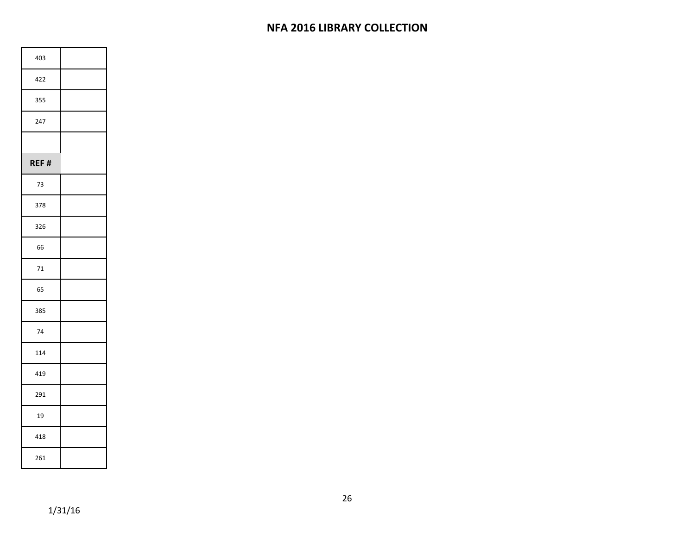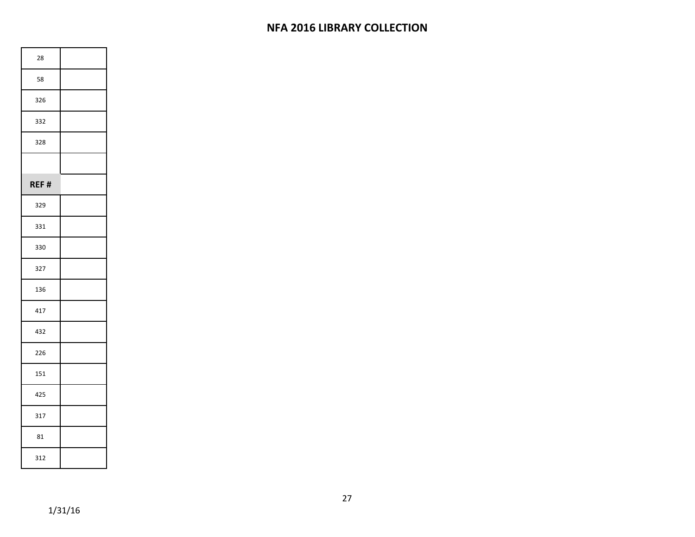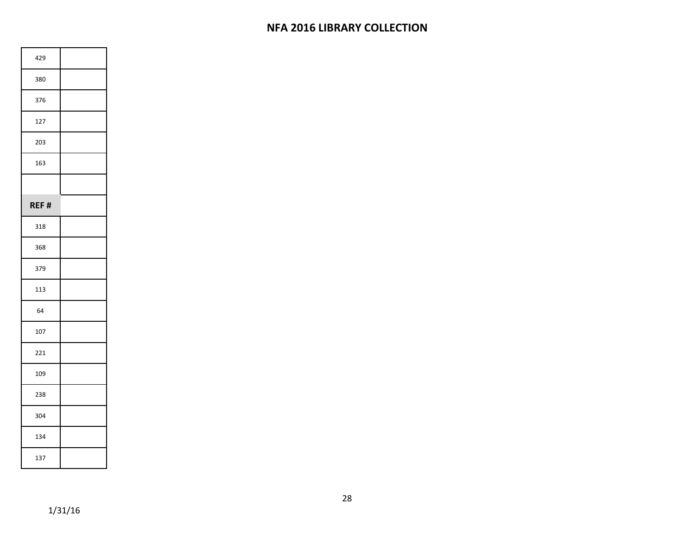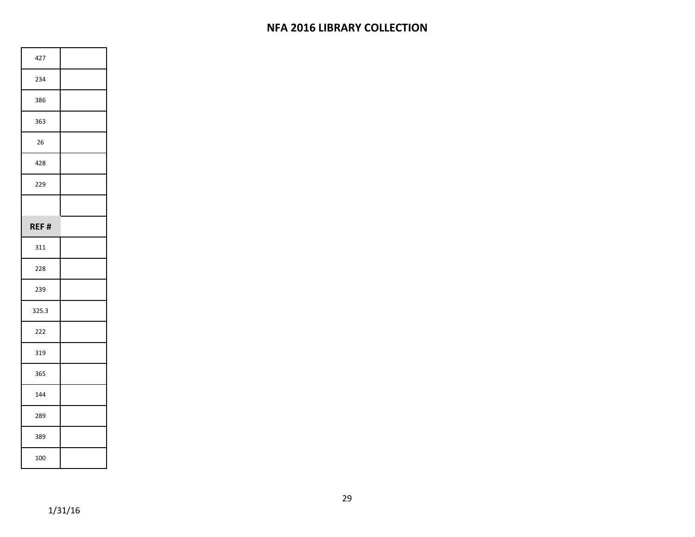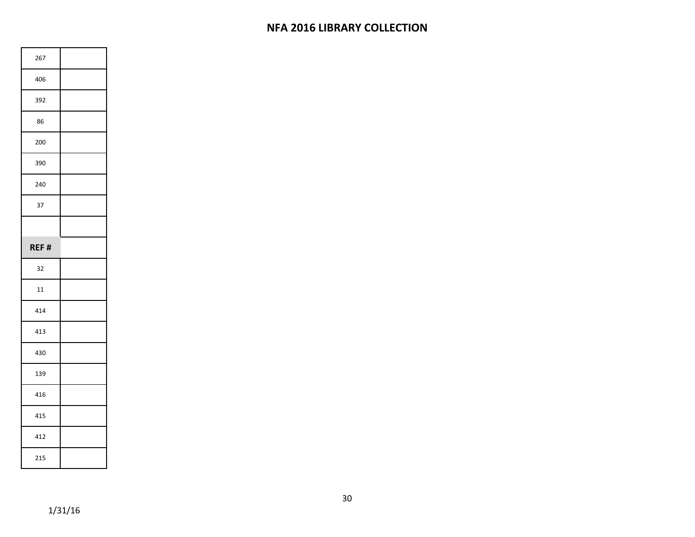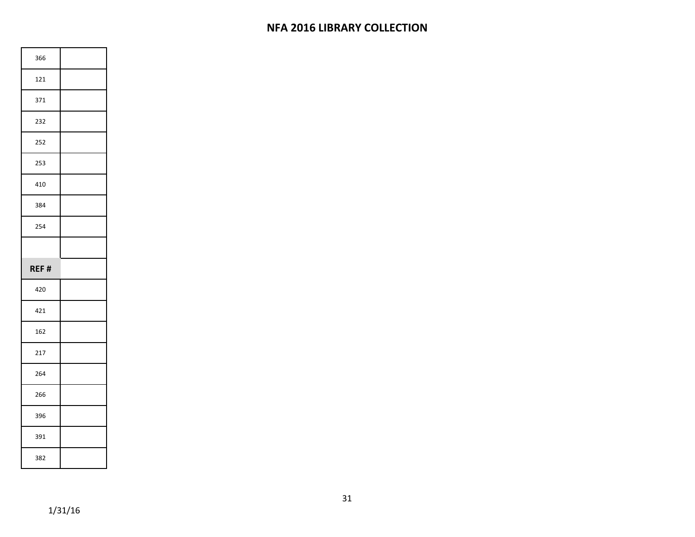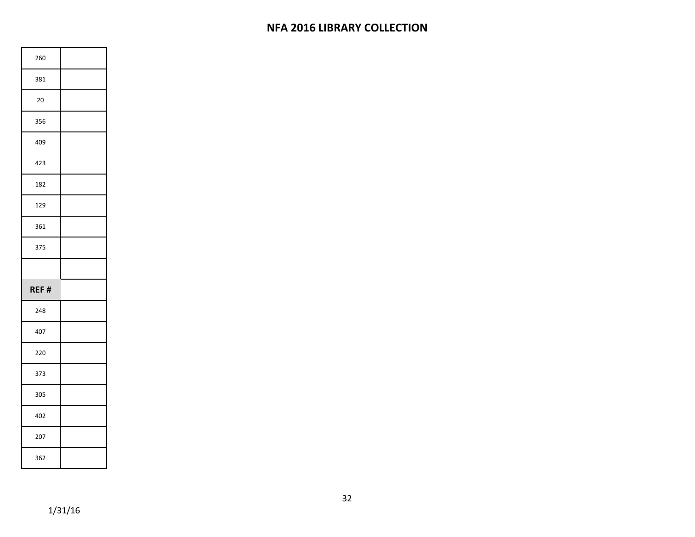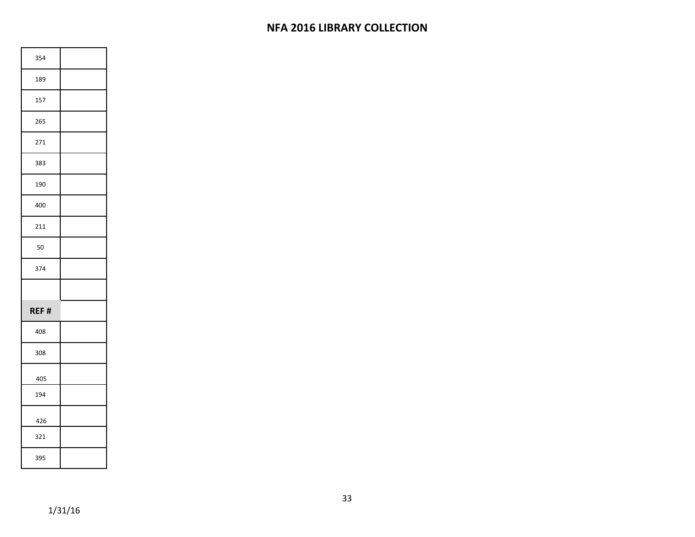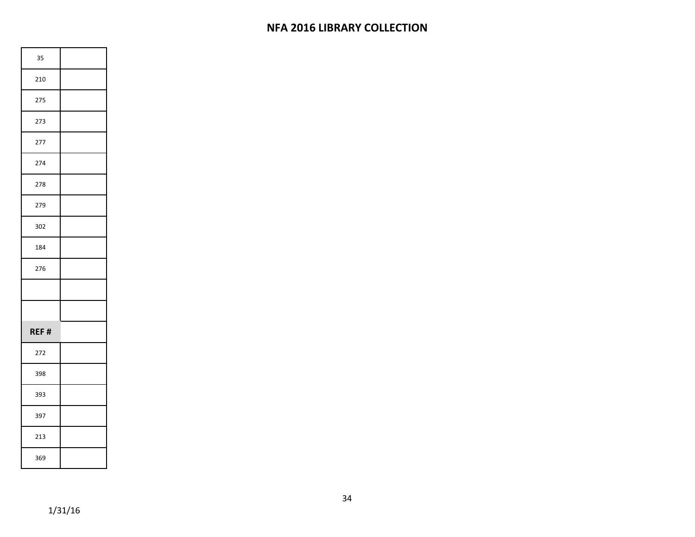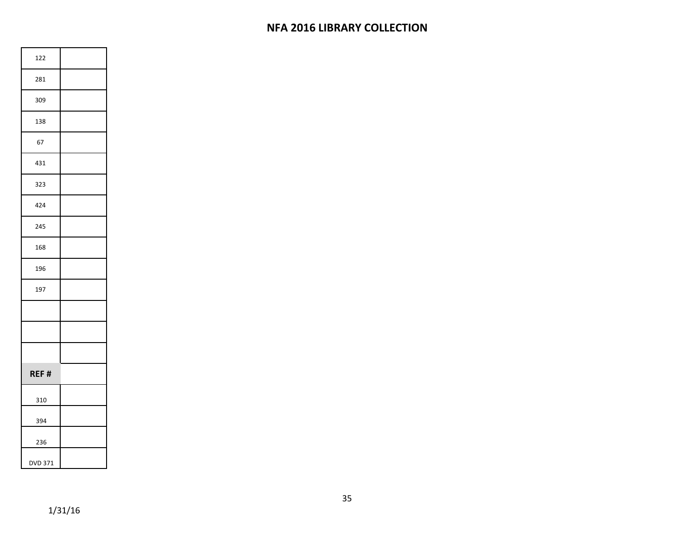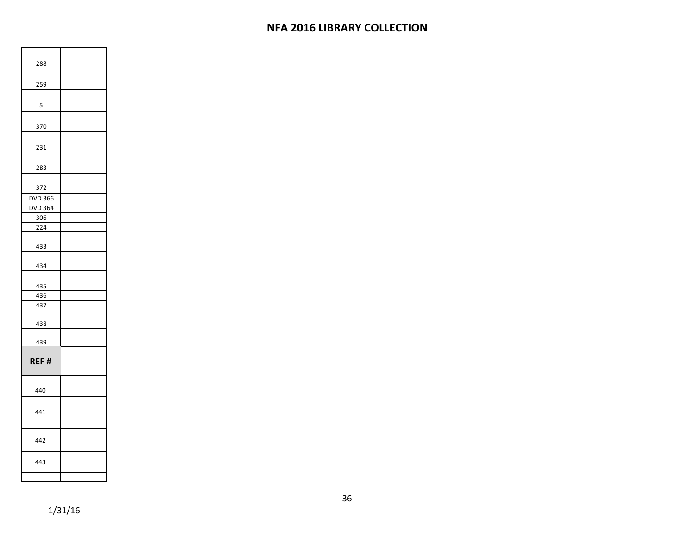| 288            |  |
|----------------|--|
|                |  |
| 259            |  |
| 5              |  |
|                |  |
| 370            |  |
| 231            |  |
| 283            |  |
| 372            |  |
| DVD 366        |  |
| <b>DVD 364</b> |  |
| 306            |  |
| 224            |  |
| 433            |  |
| 434            |  |
| 435            |  |
| 436            |  |
| 437            |  |
| 438            |  |
| 439            |  |
| REF#           |  |
| 440            |  |
| 441            |  |
| 442            |  |
| 443            |  |
|                |  |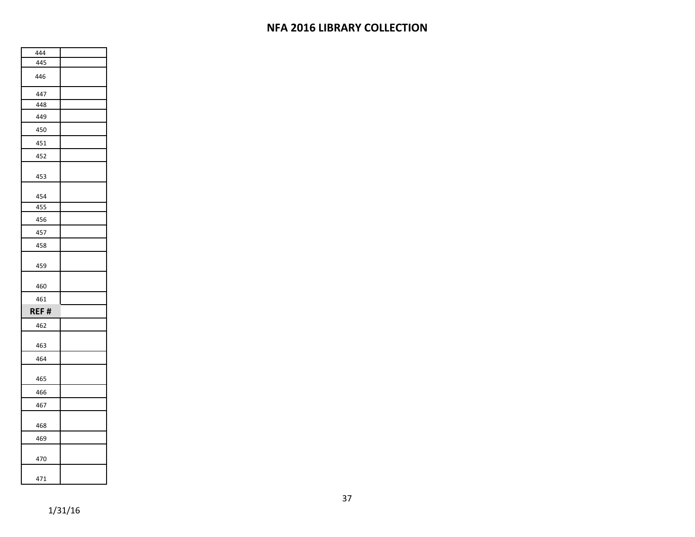| 444  |  |
|------|--|
| 445  |  |
| 446  |  |
| 447  |  |
| 448  |  |
| 449  |  |
| 450  |  |
| 451  |  |
| 452  |  |
| 453  |  |
| 454  |  |
| 455  |  |
| 456  |  |
| 457  |  |
| 458  |  |
| 459  |  |
| 460  |  |
| 461  |  |
| REF# |  |
| 462  |  |
| 463  |  |
| 464  |  |
| 465  |  |
| 466  |  |
| 467  |  |
| 468  |  |
| 469  |  |
| 470  |  |
|      |  |
| 471  |  |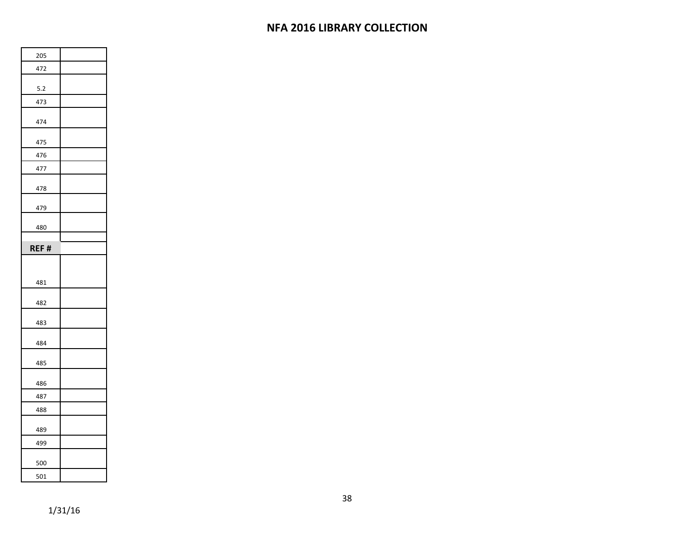| 205   |  |
|-------|--|
| 472   |  |
| $5.2$ |  |
| 473   |  |
| 474   |  |
| 475   |  |
| 476   |  |
| 477   |  |
| 478   |  |
| 479   |  |
| 480   |  |
|       |  |
| REF#  |  |
|       |  |
|       |  |
| 481   |  |
| 482   |  |
| 483   |  |
| 484   |  |
| 485   |  |
| 486   |  |
| 487   |  |
| 488   |  |
| 489   |  |
| 499   |  |
| 500   |  |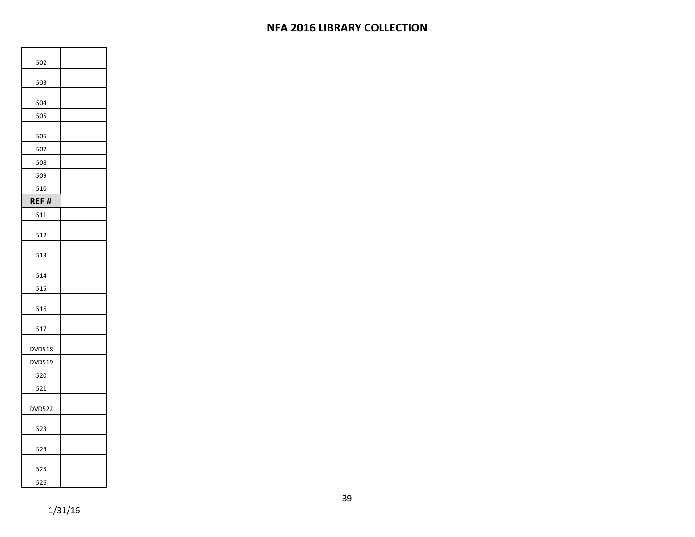| 502           |  |
|---------------|--|
| 503           |  |
| 504           |  |
| 505           |  |
| 506           |  |
| 507           |  |
| 508           |  |
| 509           |  |
| 510           |  |
| REF#          |  |
| 511           |  |
| 512           |  |
| 513           |  |
| 514           |  |
| 515           |  |
| 516           |  |
| 517           |  |
| DVD518        |  |
| DVD519        |  |
| 520           |  |
| 521           |  |
| <b>DVD522</b> |  |
| 523           |  |
| 524           |  |
| 525           |  |
| 526           |  |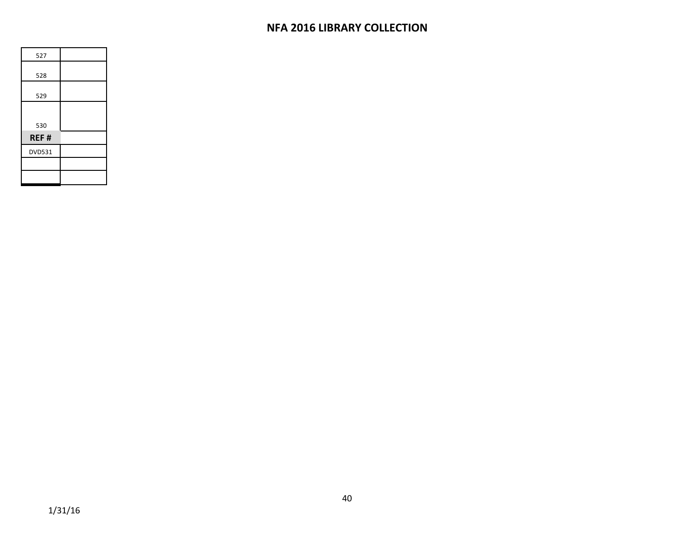| 527           |  |
|---------------|--|
| 528           |  |
|               |  |
| 529           |  |
|               |  |
| 530           |  |
|               |  |
| REF#          |  |
| <b>DVD531</b> |  |
|               |  |
|               |  |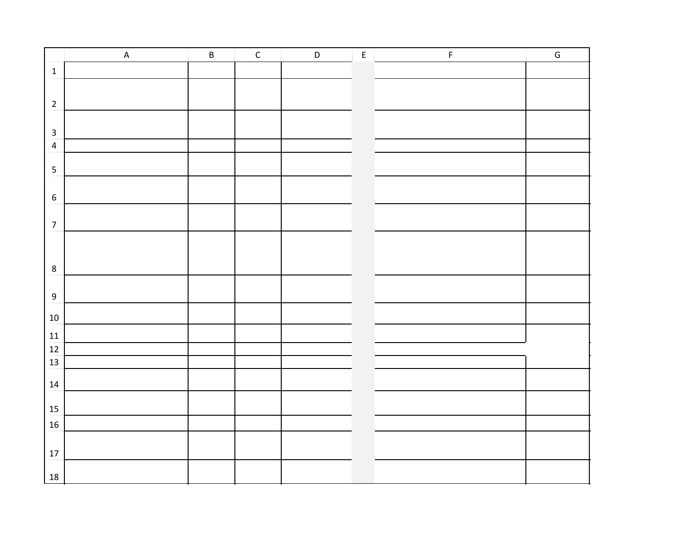|                         | $\sf A$ | $\overline{B}$ | $\overline{C}$ | $\mathsf D$ | $\overline{E}$ | $\mathsf F$ | $\overline{G}$ |
|-------------------------|---------|----------------|----------------|-------------|----------------|-------------|----------------|
| $\mathbf 1$             |         |                |                |             |                |             |                |
|                         |         |                |                |             |                |             |                |
| $\overline{2}$          |         |                |                |             |                |             |                |
|                         |         |                |                |             |                |             |                |
| $\mathbf{3}$            |         |                |                |             |                |             |                |
| $\overline{\mathbf{4}}$ |         |                |                |             |                |             |                |
| $\overline{\mathbf{5}}$ |         |                |                |             |                |             |                |
|                         |         |                |                |             |                |             |                |
| $\boldsymbol{6}$        |         |                |                |             |                |             |                |
|                         |         |                |                |             |                |             |                |
| $\overline{7}$          |         |                |                |             |                |             |                |
|                         |         |                |                |             |                |             |                |
|                         |         |                |                |             |                |             |                |
| $\bf 8$                 |         |                |                |             |                |             |                |
|                         |         |                |                |             |                |             |                |
| $\boldsymbol{9}$        |         |                |                |             |                |             |                |
| $10\,$                  |         |                |                |             |                |             |                |
| $11\,$                  |         |                |                |             |                |             |                |
| $12\,$                  |         |                |                |             |                |             |                |
| 13                      |         |                |                |             |                |             |                |
|                         |         |                |                |             |                |             |                |
|                         |         |                |                |             |                |             |                |
| $15\,$                  |         |                |                |             |                |             |                |
| $16\,$                  |         |                |                |             |                |             |                |
|                         |         |                |                |             |                |             |                |
| $17\,$                  |         |                |                |             |                |             |                |
|                         |         |                |                |             |                |             |                |
| $14\,$<br>18            |         |                |                |             |                |             |                |